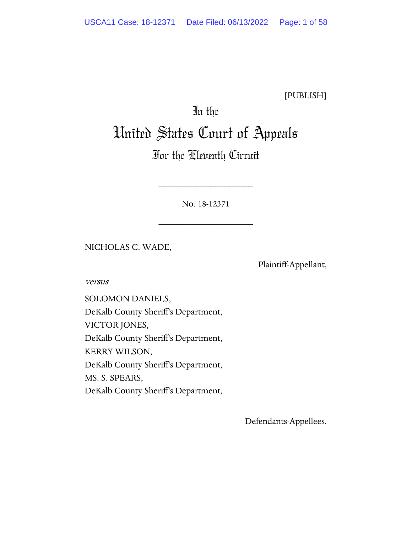[PUBLISH]

# In the United States Court of Appeals

# For the Eleventh Circuit

No. 18-12371

\_\_\_\_\_\_\_\_\_\_\_\_\_\_\_\_\_\_\_\_

\_\_\_\_\_\_\_\_\_\_\_\_\_\_\_\_\_\_\_\_

NICHOLAS C. WADE,

Plaintiff-Appellant,

versus

SOLOMON DANIELS, DeKalb County Sheriff's Department, VICTOR JONES, DeKalb County Sheriff's Department, KERRY WILSON, DeKalb County Sheriff's Department, MS. S. SPEARS, DeKalb County Sheriff's Department,

Defendants-Appellees.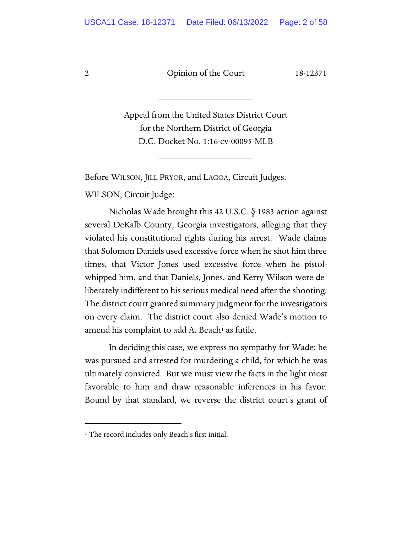2 Dpinion of the Court 18-12371

\_\_\_\_\_\_\_\_\_\_\_\_\_\_\_\_\_\_\_\_

Appeal from the United States District Court for the Northern District of Georgia D.C. Docket No. 1:16-cv-00095-MLB

\_\_\_\_\_\_\_\_\_\_\_\_\_\_\_\_\_\_\_\_

Before WILSON, JILL PRYOR, and LAGOA, Circuit Judges.

WILSON, Circuit Judge:

Nicholas Wade brought this 42 U.S.C. § 1983 action against several DeKalb County, Georgia investigators, alleging that they violated his constitutional rights during his arrest. Wade claims that Solomon Daniels used excessive force when he shot him three times, that Victor Jones used excessive force when he pistolwhipped him, and that Daniels, Jones, and Kerry Wilson were deliberately indifferent to his serious medical need after the shooting. The district court granted summary judgment for the investigators on every claim. The district court also denied Wade's motion to amend his complaint to add  $A$ . Beach<sup>[1](#page-1-0)</sup> as futile.

In deciding this case, we express no sympathy for Wade; he was pursued and arrested for murdering a child, for which he was ultimately convicted. But we must view the facts in the light most favorable to him and draw reasonable inferences in his favor. Bound by that standard, we reverse the district court's grant of

<span id="page-1-0"></span><sup>&</sup>lt;sup>1</sup> The record includes only Beach's first initial.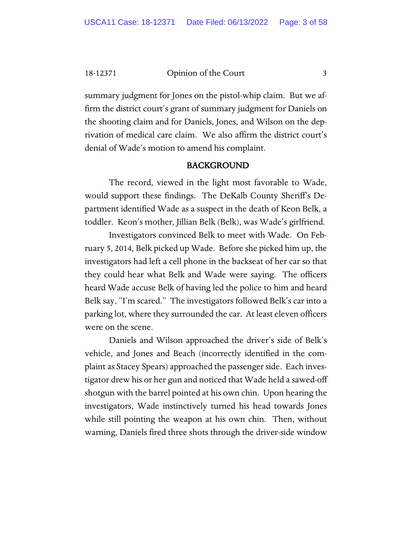18-12371 Opinion of the Court 3

summary judgment for Jones on the pistol-whip claim. But we affirm the district court's grant of summary judgment for Daniels on the shooting claim and for Daniels, Jones, and Wilson on the deprivation of medical care claim. We also affirm the district court's denial of Wade's motion to amend his complaint.

#### BACKGROUND

The record, viewed in the light most favorable to Wade, would support these findings. The DeKalb County Sheriff's Department identified Wade as a suspect in the death of Keon Belk, a toddler. Keon's mother, Jillian Belk (Belk), was Wade's girlfriend.

Investigators convinced Belk to meet with Wade. On February 5, 2014, Belk picked up Wade. Before she picked him up, the investigators had left a cell phone in the backseat of her car so that they could hear what Belk and Wade were saying. The officers heard Wade accuse Belk of having led the police to him and heard Belk say, "I'm scared." The investigators followed Belk's car into a parking lot, where they surrounded the car. At least eleven officers were on the scene.

Daniels and Wilson approached the driver's side of Belk's vehicle, and Jones and Beach (incorrectly identified in the complaint as Stacey Spears) approached the passenger side. Each investigator drew his or her gun and noticed that Wade held a sawed-off shotgun with the barrel pointed at his own chin. Upon hearing the investigators, Wade instinctively turned his head towards Jones while still pointing the weapon at his own chin. Then, without warning, Daniels fired three shots through the driver-side window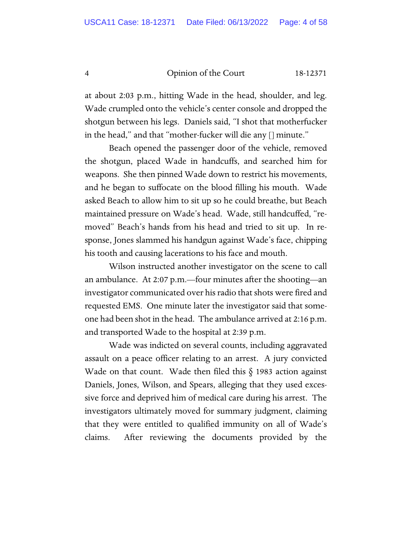#### 4 Opinion of the Court 18-12371

at about 2:03 p.m., hitting Wade in the head, shoulder, and leg. Wade crumpled onto the vehicle's center console and dropped the shotgun between his legs. Daniels said, "I shot that motherfucker in the head," and that "mother-fucker will die any [] minute."

Beach opened the passenger door of the vehicle, removed the shotgun, placed Wade in handcuffs, and searched him for weapons. She then pinned Wade down to restrict his movements, and he began to suffocate on the blood filling his mouth. Wade asked Beach to allow him to sit up so he could breathe, but Beach maintained pressure on Wade's head. Wade, still handcuffed, "removed" Beach's hands from his head and tried to sit up. In response, Jones slammed his handgun against Wade's face, chipping his tooth and causing lacerations to his face and mouth.

Wilson instructed another investigator on the scene to call an ambulance. At 2:07 p.m.—four minutes after the shooting—an investigator communicated over his radio that shots were fired and requested EMS. One minute later the investigator said that someone had been shot in the head. The ambulance arrived at 2:16 p.m. and transported Wade to the hospital at 2:39 p.m.

Wade was indicted on several counts, including aggravated assault on a peace officer relating to an arrest. A jury convicted Wade on that count. Wade then filed this  $\S$  1983 action against Daniels, Jones, Wilson, and Spears, alleging that they used excessive force and deprived him of medical care during his arrest. The investigators ultimately moved for summary judgment, claiming that they were entitled to qualified immunity on all of Wade's claims. After reviewing the documents provided by the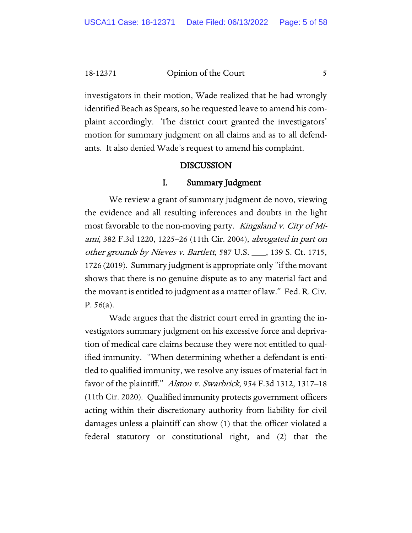18-12371 Opinion of the Court 5

investigators in their motion, Wade realized that he had wrongly identified Beach as Spears, so he requested leave to amend his complaint accordingly. The district court granted the investigators' motion for summary judgment on all claims and as to all defendants. It also denied Wade's request to amend his complaint.

#### DISCUSSION

#### I. Summary Judgment

We review a grant of summary judgment de novo, viewing the evidence and all resulting inferences and doubts in the light most favorable to the non-moving party. *Kingsland v. City of Mi*ami, 382 F.3d 1220, 1225–26 (11th Cir. 2004), abrogated in part on other grounds by Nieves v. Bartlett, 587 U.S. \_\_\_, 139 S. Ct. 1715, 1726 (2019). Summary judgment is appropriate only "if the movant shows that there is no genuine dispute as to any material fact and the movant is entitled to judgment as a matter of law." Fed. R. Civ. P. 56(a).

Wade argues that the district court erred in granting the investigators summary judgment on his excessive force and deprivation of medical care claims because they were not entitled to qualified immunity. "When determining whether a defendant is entitled to qualified immunity, we resolve any issues of material fact in favor of the plaintiff." Alston v. Swarbrick, 954 F.3d 1312, 1317–18 (11th Cir. 2020). Qualified immunity protects government officers acting within their discretionary authority from liability for civil damages unless a plaintiff can show (1) that the officer violated a federal statutory or constitutional right, and (2) that the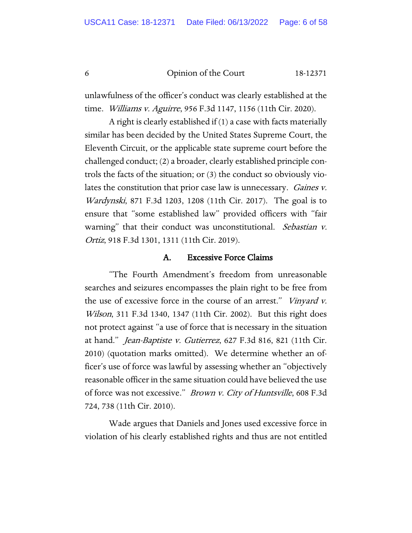6 Opinion of the Court 18-12371

unlawfulness of the officer's conduct was clearly established at the time. Williams v. Aguirre, 956 F.3d 1147, 1156 (11th Cir. 2020).

A right is clearly established if (1) a case with facts materially similar has been decided by the United States Supreme Court, the Eleventh Circuit, or the applicable state supreme court before the challenged conduct; (2) a broader, clearly established principle controls the facts of the situation; or (3) the conduct so obviously violates the constitution that prior case law is unnecessary. *Gaines v.* Wardynski, 871 F.3d 1203, 1208 (11th Cir. 2017). The goal is to ensure that "some established law" provided officers with "fair warning" that their conduct was unconstitutional. Sebastian v. Ortiz, 918 F.3d 1301, 1311 (11th Cir. 2019).

#### A. Excessive Force Claims

"The Fourth Amendment's freedom from unreasonable searches and seizures encompasses the plain right to be free from the use of excessive force in the course of an arrest." *Vinyard v.* Wilson, 311 F.3d 1340, 1347 (11th Cir. 2002). But this right does not protect against "a use of force that is necessary in the situation at hand." Jean-Baptiste v. Gutierrez, 627 F.3d 816, 821 (11th Cir. 2010) (quotation marks omitted). We determine whether an officer's use of force was lawful by assessing whether an "objectively reasonable officer in the same situation could have believed the use of force was not excessive." Brown v. City of Huntsville, 608 F.3d 724, 738 (11th Cir. 2010).

Wade argues that Daniels and Jones used excessive force in violation of his clearly established rights and thus are not entitled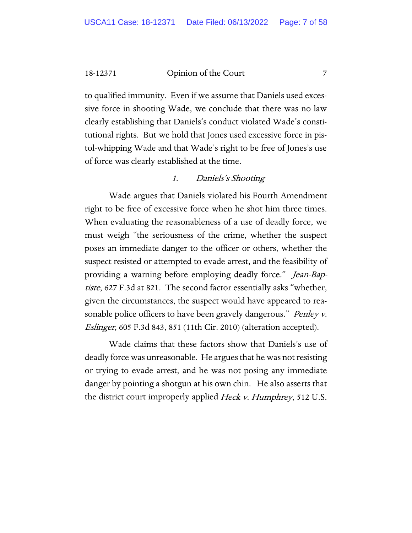18-12371 Opinion of the Court 7

to qualified immunity. Even if we assume that Daniels used excessive force in shooting Wade, we conclude that there was no law clearly establishing that Daniels's conduct violated Wade's constitutional rights. But we hold that Jones used excessive force in pistol-whipping Wade and that Wade's right to be free of Jones's use of force was clearly established at the time.

#### 1. Daniels's Shooting

Wade argues that Daniels violated his Fourth Amendment right to be free of excessive force when he shot him three times. When evaluating the reasonableness of a use of deadly force, we must weigh "the seriousness of the crime, whether the suspect poses an immediate danger to the officer or others, whether the suspect resisted or attempted to evade arrest, and the feasibility of providing a warning before employing deadly force." Jean-Baptiste, 627 F.3d at 821. The second factor essentially asks "whether, given the circumstances, the suspect would have appeared to reasonable police officers to have been gravely dangerous." *Penley v.* Eslinger, 605 F.3d 843, 851 (11th Cir. 2010) (alteration accepted).

Wade claims that these factors show that Daniels's use of deadly force was unreasonable. He argues that he was not resisting or trying to evade arrest, and he was not posing any immediate danger by pointing a shotgun at his own chin. He also asserts that the district court improperly applied *Heck v. Humphrey*, 512 U.S.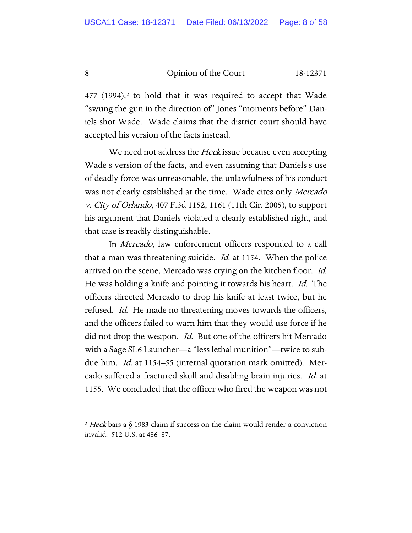8 Opinion of the Court 18-12371

 $477$  (1994),<sup>[2](#page-7-0)</sup> to hold that it was required to accept that Wade "swung the gun in the direction of" Jones "moments before" Daniels shot Wade. Wade claims that the district court should have accepted his version of the facts instead.

We need not address the *Heck* issue because even accepting Wade's version of the facts, and even assuming that Daniels's use of deadly force was unreasonable, the unlawfulness of his conduct was not clearly established at the time. Wade cites only Mercado v. City of Orlando, 407 F.3d 1152, 1161 (11th Cir. 2005), to support his argument that Daniels violated a clearly established right, and that case is readily distinguishable.

In Mercado, law enforcement officers responded to a call that a man was threatening suicide. *Id.* at 1154. When the police arrived on the scene, Mercado was crying on the kitchen floor. Id. He was holding a knife and pointing it towards his heart. Id. The officers directed Mercado to drop his knife at least twice, but he refused. *Id.* He made no threatening moves towards the officers, and the officers failed to warn him that they would use force if he did not drop the weapon. *Id.* But one of the officers hit Mercado with a Sage SL6 Launcher—a "less lethal munition"—twice to subdue him. Id. at 1154–55 (internal quotation mark omitted). Mercado suffered a fractured skull and disabling brain injuries. Id. at 1155. We concluded that the officer who fired the weapon was not

<span id="page-7-0"></span><sup>&</sup>lt;sup>2</sup> Heck bars a  $\S$  1983 claim if success on the claim would render a conviction invalid. 512 U.S. at 486–87.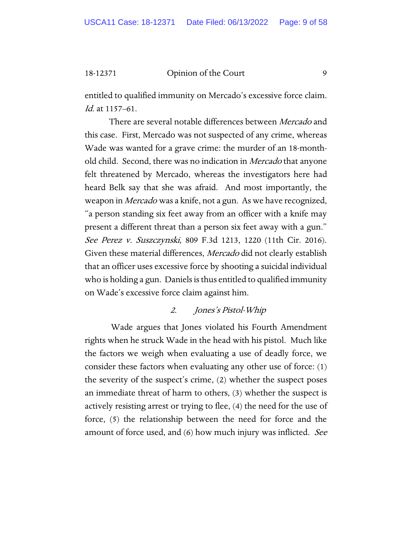#### 18-12371 Opinion of the Court 9

entitled to qualified immunity on Mercado's excessive force claim. Id. at 1157–61.

There are several notable differences between Mercado and this case. First, Mercado was not suspected of any crime, whereas Wade was wanted for a grave crime: the murder of an 18-monthold child. Second, there was no indication in *Mercado* that anyone felt threatened by Mercado, whereas the investigators here had heard Belk say that she was afraid. And most importantly, the weapon in *Mercado* was a knife, not a gun. As we have recognized, "a person standing six feet away from an officer with a knife may present a different threat than a person six feet away with a gun." See Perez v. Suszczynski, 809 F.3d 1213, 1220 (11th Cir. 2016). Given these material differences, Mercado did not clearly establish that an officer uses excessive force by shooting a suicidal individual who is holding a gun. Daniels is thus entitled to qualified immunity on Wade's excessive force claim against him.

#### 2. Jones's Pistol-Whip

Wade argues that Jones violated his Fourth Amendment rights when he struck Wade in the head with his pistol. Much like the factors we weigh when evaluating a use of deadly force, we consider these factors when evaluating any other use of force: (1) the severity of the suspect's crime, (2) whether the suspect poses an immediate threat of harm to others, (3) whether the suspect is actively resisting arrest or trying to flee, (4) the need for the use of force, (5) the relationship between the need for force and the amount of force used, and (6) how much injury was inflicted. See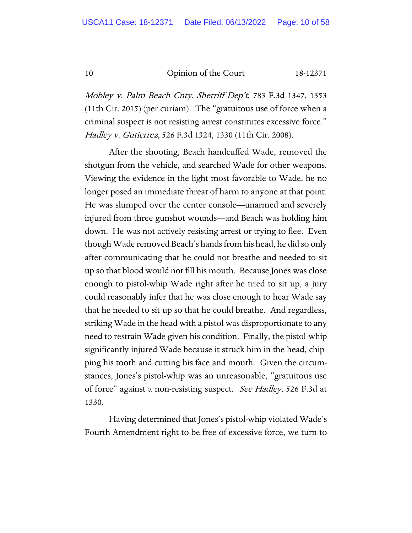10 Opinion of the Court 18-12371

Mobley v. Palm Beach Cnty. Sherriff Dep't, 783 F.3d 1347, 1353 (11th Cir. 2015) (per curiam). The "gratuitous use of force when a criminal suspect is not resisting arrest constitutes excessive force." Hadley v. Gutierrez, 526 F.3d 1324, 1330 (11th Cir. 2008).

After the shooting, Beach handcuffed Wade, removed the shotgun from the vehicle, and searched Wade for other weapons. Viewing the evidence in the light most favorable to Wade, he no longer posed an immediate threat of harm to anyone at that point. He was slumped over the center console—unarmed and severely injured from three gunshot wounds—and Beach was holding him down. He was not actively resisting arrest or trying to flee. Even though Wade removed Beach's hands from his head, he did so only after communicating that he could not breathe and needed to sit up so that blood would not fill his mouth. Because Jones was close enough to pistol-whip Wade right after he tried to sit up, a jury could reasonably infer that he was close enough to hear Wade say that he needed to sit up so that he could breathe. And regardless, striking Wade in the head with a pistol was disproportionate to any need to restrain Wade given his condition. Finally, the pistol-whip significantly injured Wade because it struck him in the head, chipping his tooth and cutting his face and mouth. Given the circumstances, Jones's pistol-whip was an unreasonable, "gratuitous use of force" against a non-resisting suspect. See Hadley, 526 F.3d at 1330.

Having determined that Jones's pistol-whip violated Wade's Fourth Amendment right to be free of excessive force, we turn to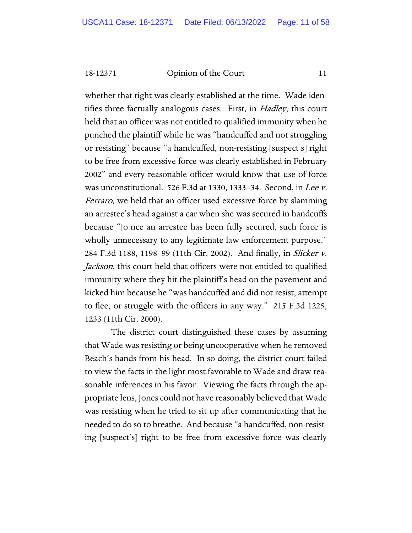18-12371 Opinion of the Court 11

whether that right was clearly established at the time. Wade identifies three factually analogous cases. First, in *Hadley*, this court held that an officer was not entitled to qualified immunity when he punched the plaintiff while he was "handcuffed and not struggling or resisting" because "a handcuffed, non-resisting [suspect's] right to be free from excessive force was clearly established in February 2002" and every reasonable officer would know that use of force was unconstitutional. 526 F.3d at 1330, 1333–34. Second, in Lee v. Ferraro, we held that an officer used excessive force by slamming an arrestee's head against a car when she was secured in handcuffs because "[o]nce an arrestee has been fully secured, such force is wholly unnecessary to any legitimate law enforcement purpose." 284 F.3d 1188, 1198–99 (11th Cir. 2002). And finally, in Slicker v. Jackson, this court held that officers were not entitled to qualified immunity where they hit the plaintiff's head on the pavement and kicked him because he "was handcuffed and did not resist, attempt to flee, or struggle with the officers in any way." 215 F.3d 1225, 1233 (11th Cir. 2000).

The district court distinguished these cases by assuming that Wade was resisting or being uncooperative when he removed Beach's hands from his head. In so doing, the district court failed to view the facts in the light most favorable to Wade and draw reasonable inferences in his favor. Viewing the facts through the appropriate lens, Jones could not have reasonably believed that Wade was resisting when he tried to sit up after communicating that he needed to do so to breathe. And because "a handcuffed, non-resisting [suspect's] right to be free from excessive force was clearly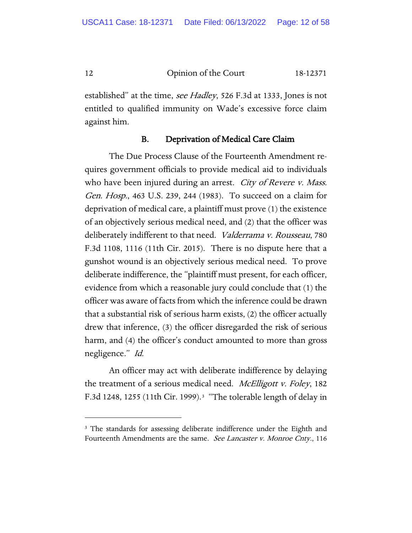12 Opinion of the Court 18-12371

established" at the time, *see Hadley*, 526 F.3d at 1333, Jones is not entitled to qualified immunity on Wade's excessive force claim against him.

#### B. Deprivation of Medical Care Claim

The Due Process Clause of the Fourteenth Amendment requires government officials to provide medical aid to individuals who have been injured during an arrest. *City of Revere v. Mass.* Gen. Hosp., 463 U.S. 239, 244 (1983). To succeed on a claim for deprivation of medical care, a plaintiff must prove (1) the existence of an objectively serious medical need, and (2) that the officer was deliberately indifferent to that need. Valderrama v. Rousseau, 780 F.3d 1108, 1116 (11th Cir. 2015). There is no dispute here that a gunshot wound is an objectively serious medical need. To prove deliberate indifference, the "plaintiff must present, for each officer, evidence from which a reasonable jury could conclude that (1) the officer was aware of facts from which the inference could be drawn that a substantial risk of serious harm exists, (2) the officer actually drew that inference, (3) the officer disregarded the risk of serious harm, and (4) the officer's conduct amounted to more than gross negligence." Id.

An officer may act with deliberate indifference by delaying the treatment of a serious medical need. *McElligott v. Foley*, 182 F.3d 1248, 1255 (11th Cir. 1999).<sup>3</sup> "The tolerable length of delay in

<span id="page-11-0"></span><sup>&</sup>lt;sup>3</sup> The standards for assessing deliberate indifference under the Eighth and Fourteenth Amendments are the same. See Lancaster v. Monroe Cnty., 116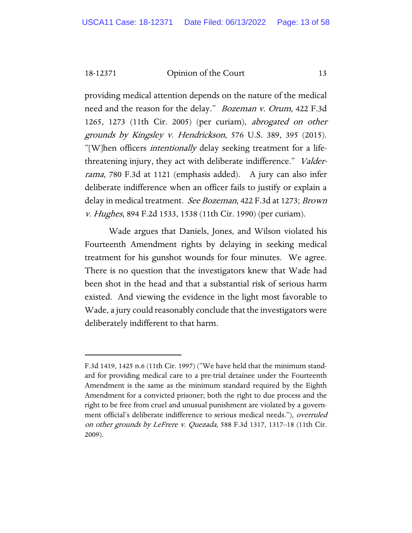18-12371 Opinion of the Court 13

providing medical attention depends on the nature of the medical need and the reason for the delay." *Bozeman v. Orum*, 422 F.3d 1265, 1273 (11th Cir. 2005) (per curiam), abrogated on other grounds by Kingsley v. Hendrickson, 576 U.S. 389, 395 (2015). "[W]hen officers *intentionally* delay seeking treatment for a lifethreatening injury, they act with deliberate indifference." Valderrama, 780 F.3d at 1121 (emphasis added). A jury can also infer deliberate indifference when an officer fails to justify or explain a delay in medical treatment. See Bozeman, 422 F.3d at 1273; Brown v. Hughes, 894 F.2d 1533, 1538 (11th Cir. 1990) (per curiam).

Wade argues that Daniels, Jones, and Wilson violated his Fourteenth Amendment rights by delaying in seeking medical treatment for his gunshot wounds for four minutes. We agree. There is no question that the investigators knew that Wade had been shot in the head and that a substantial risk of serious harm existed. And viewing the evidence in the light most favorable to Wade, a jury could reasonably conclude that the investigators were deliberately indifferent to that harm.

F.3d 1419, 1425 n.6 (11th Cir. 1997) ("We have held that the minimum standard for providing medical care to a pre-trial detainee under the Fourteenth Amendment is the same as the minimum standard required by the Eighth Amendment for a convicted prisoner; both the right to due process and the right to be free from cruel and unusual punishment are violated by a government official's deliberate indifference to serious medical needs."), overruled on other grounds by LeFrere v. Quezada, 588 F.3d 1317, 1317–18 (11th Cir. 2009).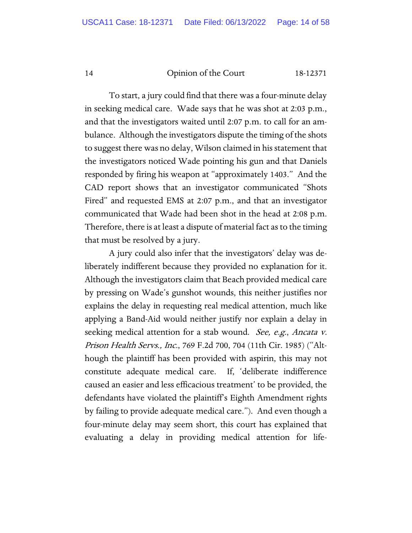#### 14 Opinion of the Court 18-12371

To start, a jury could find that there was a four-minute delay in seeking medical care. Wade says that he was shot at 2:03 p.m., and that the investigators waited until 2:07 p.m. to call for an ambulance. Although the investigators dispute the timing of the shots to suggest there was no delay, Wilson claimed in his statement that the investigators noticed Wade pointing his gun and that Daniels responded by firing his weapon at "approximately 1403." And the CAD report shows that an investigator communicated "Shots Fired" and requested EMS at 2:07 p.m., and that an investigator communicated that Wade had been shot in the head at 2:08 p.m. Therefore, there is at least a dispute of material fact as to the timing that must be resolved by a jury.

A jury could also infer that the investigators' delay was deliberately indifferent because they provided no explanation for it. Although the investigators claim that Beach provided medical care by pressing on Wade's gunshot wounds, this neither justifies nor explains the delay in requesting real medical attention, much like applying a Band-Aid would neither justify nor explain a delay in seeking medical attention for a stab wound. *See, e.g., Ancata v.* Prison Health Servs., Inc., 769 F.2d 700, 704 (11th Cir. 1985) ("Although the plaintiff has been provided with aspirin, this may not constitute adequate medical care. If, 'deliberate indifference caused an easier and less efficacious treatment' to be provided, the defendants have violated the plaintiff's Eighth Amendment rights by failing to provide adequate medical care."). And even though a four-minute delay may seem short, this court has explained that evaluating a delay in providing medical attention for life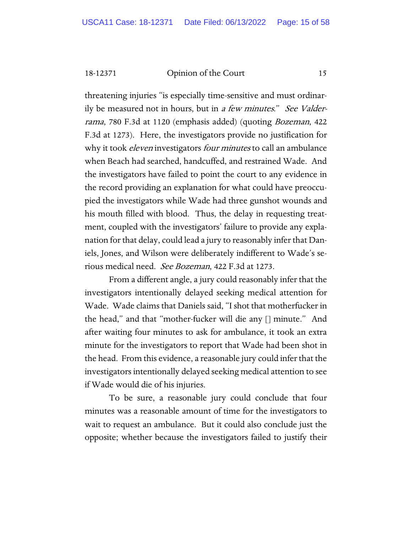18-12371 Opinion of the Court 15

threatening injuries "is especially time-sensitive and must ordinarily be measured not in hours, but in a few minutes." See Valderrama, 780 F.3d at 1120 (emphasis added) (quoting Bozeman, 422 F.3d at 1273). Here, the investigators provide no justification for why it took *eleven* investigators *four minutes* to call an ambulance when Beach had searched, handcuffed, and restrained Wade. And the investigators have failed to point the court to any evidence in the record providing an explanation for what could have preoccupied the investigators while Wade had three gunshot wounds and his mouth filled with blood. Thus, the delay in requesting treatment, coupled with the investigators' failure to provide any explanation for that delay, could lead a jury to reasonably infer that Daniels, Jones, and Wilson were deliberately indifferent to Wade's serious medical need. See Bozeman, 422 F.3d at 1273.

From a different angle, a jury could reasonably infer that the investigators intentionally delayed seeking medical attention for Wade. Wade claims that Daniels said, "I shot that motherfucker in the head," and that "mother-fucker will die any [] minute." And after waiting four minutes to ask for ambulance, it took an extra minute for the investigators to report that Wade had been shot in the head. From this evidence, a reasonable jury could infer that the investigators intentionally delayed seeking medical attention to see if Wade would die of his injuries.

To be sure, a reasonable jury could conclude that four minutes was a reasonable amount of time for the investigators to wait to request an ambulance. But it could also conclude just the opposite; whether because the investigators failed to justify their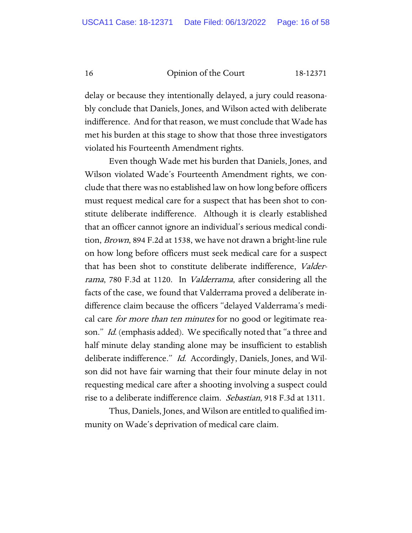16 Opinion of the Court 18-12371

delay or because they intentionally delayed, a jury could reasonably conclude that Daniels, Jones, and Wilson acted with deliberate indifference. And for that reason, we must conclude that Wade has met his burden at this stage to show that those three investigators violated his Fourteenth Amendment rights.

Even though Wade met his burden that Daniels, Jones, and Wilson violated Wade's Fourteenth Amendment rights, we conclude that there was no established law on how long before officers must request medical care for a suspect that has been shot to constitute deliberate indifference. Although it is clearly established that an officer cannot ignore an individual's serious medical condition, Brown, 894 F.2d at 1538, we have not drawn a bright-line rule on how long before officers must seek medical care for a suspect that has been shot to constitute deliberate indifference, Valderrama, 780 F.3d at 1120. In *Valderrama*, after considering all the facts of the case, we found that Valderrama proved a deliberate indifference claim because the officers "delayed Valderrama's medical care *for more than ten minutes* for no good or legitimate reason." *Id.* (emphasis added). We specifically noted that "a three and half minute delay standing alone may be insufficient to establish deliberate indifference." Id. Accordingly, Daniels, Jones, and Wilson did not have fair warning that their four minute delay in not requesting medical care after a shooting involving a suspect could rise to a deliberate indifference claim. Sebastian, 918 F.3d at 1311.

Thus, Daniels, Jones, and Wilson are entitled to qualified immunity on Wade's deprivation of medical care claim.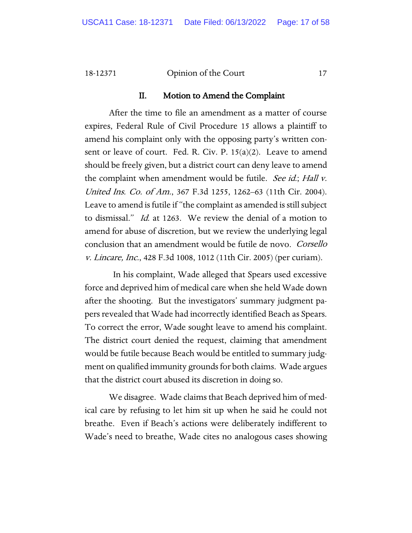#### 18-12371 Opinion of the Court 17

#### II. Motion to Amend the Complaint

After the time to file an amendment as a matter of course expires, Federal Rule of Civil Procedure 15 allows a plaintiff to amend his complaint only with the opposing party's written consent or leave of court. Fed. R. Civ. P. 15(a)(2). Leave to amend should be freely given, but a district court can deny leave to amend the complaint when amendment would be futile. See id.; Hall v. United Ins. Co. of Am., 367 F.3d 1255, 1262–63 (11th Cir. 2004). Leave to amend is futile if "the complaint as amended is still subject to dismissal." Id. at 1263. We review the denial of a motion to amend for abuse of discretion, but we review the underlying legal conclusion that an amendment would be futile de novo. Corsello v. Lincare, Inc., 428 F.3d 1008, 1012 (11th Cir. 2005) (per curiam).

 In his complaint, Wade alleged that Spears used excessive force and deprived him of medical care when she held Wade down after the shooting. But the investigators' summary judgment papers revealed that Wade had incorrectly identified Beach as Spears. To correct the error, Wade sought leave to amend his complaint. The district court denied the request, claiming that amendment would be futile because Beach would be entitled to summary judgment on qualified immunity grounds for both claims. Wade argues that the district court abused its discretion in doing so.

We disagree. Wade claims that Beach deprived him of medical care by refusing to let him sit up when he said he could not breathe. Even if Beach's actions were deliberately indifferent to Wade's need to breathe, Wade cites no analogous cases showing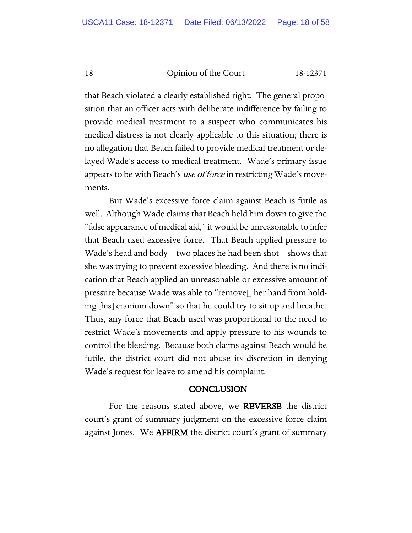18 Opinion of the Court 18-12371

that Beach violated a clearly established right. The general proposition that an officer acts with deliberate indifference by failing to provide medical treatment to a suspect who communicates his medical distress is not clearly applicable to this situation; there is no allegation that Beach failed to provide medical treatment or delayed Wade's access to medical treatment. Wade's primary issue appears to be with Beach's use of force in restricting Wade's movements.

But Wade's excessive force claim against Beach is futile as well. Although Wade claims that Beach held him down to give the "false appearance of medical aid," it would be unreasonable to infer that Beach used excessive force. That Beach applied pressure to Wade's head and body—two places he had been shot—shows that she was trying to prevent excessive bleeding. And there is no indication that Beach applied an unreasonable or excessive amount of pressure because Wade was able to "remove[] her hand from holding [his] cranium down" so that he could try to sit up and breathe. Thus, any force that Beach used was proportional to the need to restrict Wade's movements and apply pressure to his wounds to control the bleeding. Because both claims against Beach would be futile, the district court did not abuse its discretion in denying Wade's request for leave to amend his complaint.

#### **CONCLUSION**

For the reasons stated above, we REVERSE the district court's grant of summary judgment on the excessive force claim against Jones. We **AFFIRM** the district court's grant of summary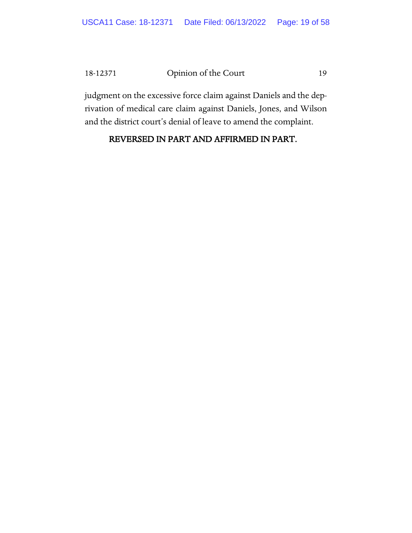### 18-12371 Opinion of the Court 19

judgment on the excessive force claim against Daniels and the deprivation of medical care claim against Daniels, Jones, and Wilson and the district court's denial of leave to amend the complaint.

# REVERSED IN PART AND AFFIRMED IN PART.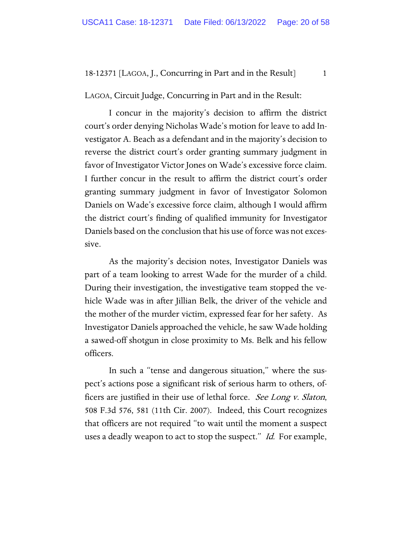LAGOA, Circuit Judge, Concurring in Part and in the Result:

I concur in the majority's decision to affirm the district court's order denying Nicholas Wade's motion for leave to add Investigator A. Beach as a defendant and in the majority's decision to reverse the district court's order granting summary judgment in favor of Investigator Victor Jones on Wade's excessive force claim. I further concur in the result to affirm the district court's order granting summary judgment in favor of Investigator Solomon Daniels on Wade's excessive force claim, although I would affirm the district court's finding of qualified immunity for Investigator Daniels based on the conclusion that his use of force was not excessive.

As the majority's decision notes, Investigator Daniels was part of a team looking to arrest Wade for the murder of a child. During their investigation, the investigative team stopped the vehicle Wade was in after Jillian Belk, the driver of the vehicle and the mother of the murder victim, expressed fear for her safety. As Investigator Daniels approached the vehicle, he saw Wade holding a sawed-off shotgun in close proximity to Ms. Belk and his fellow officers.

In such a "tense and dangerous situation," where the suspect's actions pose a significant risk of serious harm to others, officers are justified in their use of lethal force. See Long v. Slaton, 508 F.3d 576, 581 (11th Cir. 2007). Indeed, this Court recognizes that officers are not required "to wait until the moment a suspect uses a deadly weapon to act to stop the suspect." Id. For example,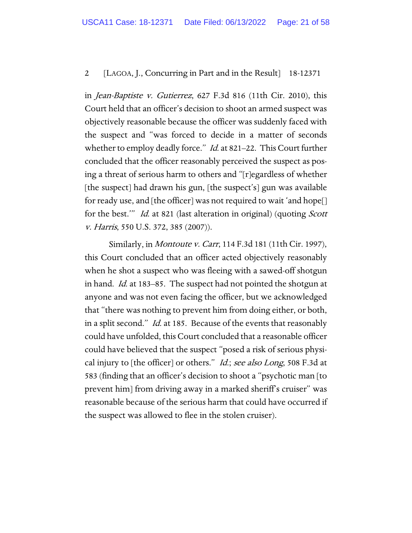in Jean-Baptiste v. Gutierrez, 627 F.3d 816 (11th Cir. 2010), this Court held that an officer's decision to shoot an armed suspect was objectively reasonable because the officer was suddenly faced with the suspect and "was forced to decide in a matter of seconds whether to employ deadly force." *Id.* at 821–22. This Court further concluded that the officer reasonably perceived the suspect as posing a threat of serious harm to others and "[r]egardless of whether [the suspect] had drawn his gun, [the suspect's] gun was available for ready use, and [the officer] was not required to wait 'and hope[] for the best." *Id.* at 821 (last alteration in original) (quoting *Scott* v. Harris, 550 U.S. 372, 385 (2007)).

Similarly, in Montoute v. Carr, 114 F.3d 181 (11th Cir. 1997), this Court concluded that an officer acted objectively reasonably when he shot a suspect who was fleeing with a sawed-off shotgun in hand. Id. at 183–85. The suspect had not pointed the shotgun at anyone and was not even facing the officer, but we acknowledged that "there was nothing to prevent him from doing either, or both, in a split second." *Id.* at 185. Because of the events that reasonably could have unfolded, this Court concluded that a reasonable officer could have believed that the suspect "posed a risk of serious physical injury to [the officer] or others." *Id.; see also Long*, 508 F.3d at 583 (finding that an officer's decision to shoot a "psychotic man [to prevent him] from driving away in a marked sheriff's cruiser" was reasonable because of the serious harm that could have occurred if the suspect was allowed to flee in the stolen cruiser).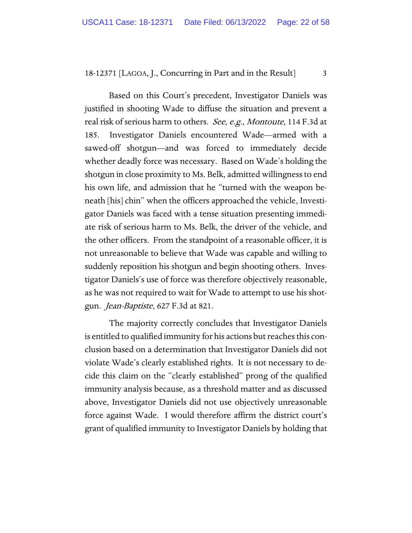Based on this Court's precedent, Investigator Daniels was justified in shooting Wade to diffuse the situation and prevent a real risk of serious harm to others. See, e.g., Montoute, 114 F.3d at 185. Investigator Daniels encountered Wade—armed with a sawed-off shotgun—and was forced to immediately decide whether deadly force was necessary. Based on Wade's holding the shotgun in close proximity to Ms. Belk, admitted willingness to end his own life, and admission that he "turned with the weapon beneath [his] chin" when the officers approached the vehicle, Investigator Daniels was faced with a tense situation presenting immediate risk of serious harm to Ms. Belk, the driver of the vehicle, and the other officers. From the standpoint of a reasonable officer, it is not unreasonable to believe that Wade was capable and willing to suddenly reposition his shotgun and begin shooting others. Investigator Daniels's use of force was therefore objectively reasonable, as he was not required to wait for Wade to attempt to use his shotgun. Jean-Baptiste, 627 F.3d at 821.

The majority correctly concludes that Investigator Daniels is entitled to qualified immunity for his actions but reaches this conclusion based on a determination that Investigator Daniels did not violate Wade's clearly established rights. It is not necessary to decide this claim on the "clearly established" prong of the qualified immunity analysis because, as a threshold matter and as discussed above, Investigator Daniels did not use objectively unreasonable force against Wade. I would therefore affirm the district court's grant of qualified immunity to Investigator Daniels by holding that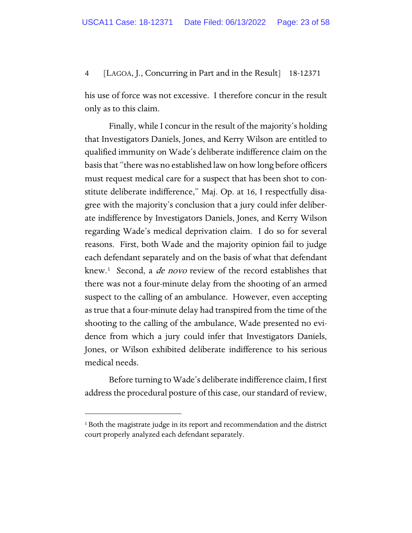his use of force was not excessive. I therefore concur in the result only as to this claim.

Finally, while I concur in the result of the majority's holding that Investigators Daniels, Jones, and Kerry Wilson are entitled to qualified immunity on Wade's deliberate indifference claim on the basis that "there was no established law on how long before officers must request medical care for a suspect that has been shot to constitute deliberate indifference," Maj. Op. at 16, I respectfully disagree with the majority's conclusion that a jury could infer deliberate indifference by Investigators Daniels, Jones, and Kerry Wilson regarding Wade's medical deprivation claim. I do so for several reasons. First, both Wade and the majority opinion fail to judge each defendant separately and on the basis of what that defendant knew.<sup>[1](#page-22-0)</sup> Second, a *de novo* review of the record establishes that there was not a four-minute delay from the shooting of an armed suspect to the calling of an ambulance. However, even accepting as true that a four-minute delay had transpired from the time of the shooting to the calling of the ambulance, Wade presented no evidence from which a jury could infer that Investigators Daniels, Jones, or Wilson exhibited deliberate indifference to his serious medical needs.

Before turning to Wade's deliberate indifference claim, I first address the procedural posture of this case, our standard of review,

<span id="page-22-0"></span><sup>&</sup>lt;sup>1</sup> Both the magistrate judge in its report and recommendation and the district court properly analyzed each defendant separately.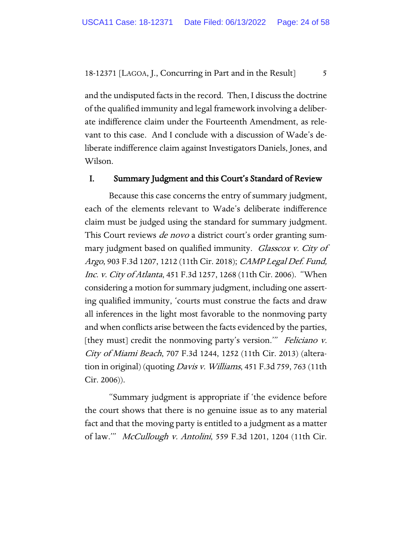and the undisputed facts in the record. Then, I discuss the doctrine of the qualified immunity and legal framework involving a deliberate indifference claim under the Fourteenth Amendment, as relevant to this case. And I conclude with a discussion of Wade's deliberate indifference claim against Investigators Daniels, Jones, and Wilson.

### I. Summary Judgment and this Court's Standard of Review

Because this case concerns the entry of summary judgment, each of the elements relevant to Wade's deliberate indifference claim must be judged using the standard for summary judgment. This Court reviews *de novo* a district court's order granting summary judgment based on qualified immunity. Glasscox v. City of Argo, 903 F.3d 1207, 1212 (11th Cir. 2018); CAMP Legal Def. Fund, Inc. v. City of Atlanta, 451 F.3d 1257, 1268 (11th Cir. 2006). "When considering a motion for summary judgment, including one asserting qualified immunity, 'courts must construe the facts and draw all inferences in the light most favorable to the nonmoving party and when conflicts arise between the facts evidenced by the parties, [they must] credit the nonmoving party's version." Feliciano v. City of Miami Beach, 707 F.3d 1244, 1252 (11th Cir. 2013) (alteration in original) (quoting *Davis v. Williams*, 451 F.3d 759, 763 (11th Cir. 2006)).

"Summary judgment is appropriate if 'the evidence before the court shows that there is no genuine issue as to any material fact and that the moving party is entitled to a judgment as a matter of law.'" McCullough v. Antolini, 559 F.3d 1201, 1204 (11th Cir.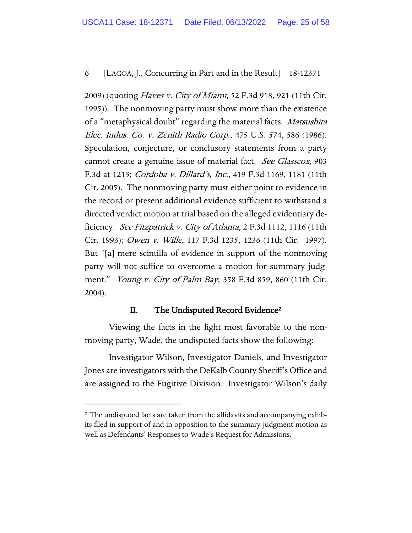2009) (quoting *Haves v. City of Miami*, 52 F.3d 918, 921 (11th Cir. 1995)). The nonmoving party must show more than the existence of a "metaphysical doubt" regarding the material facts. Matsushita Elec. Indus. Co. v. Zenith Radio Corp., 475 U.S. 574, 586 (1986). Speculation, conjecture, or conclusory statements from a party cannot create a genuine issue of material fact. See Glasscox, 903 F.3d at 1213; Cordoba v. Dillard's, Inc., 419 F.3d 1169, 1181 (11th Cir. 2005). The nonmoving party must either point to evidence in the record or present additional evidence sufficient to withstand a directed verdict motion at trial based on the alleged evidentiary deficiency. See Fitzpatrick v. City of Atlanta, 2 F.3d 1112, 1116 (11th Cir. 1993); Owen v. Wille, 117 F.3d 1235, 1236 (11th Cir. 1997). But "[a] mere scintilla of evidence in support of the nonmoving party will not suffice to overcome a motion for summary judgment." *Young v. City of Palm Bay*, 358 F.3d 859, 860 (11th Cir. 2004).

#### II. The Undisputed Record Evidence<sup>[2](#page-24-0)</sup>

Viewing the facts in the light most favorable to the nonmoving party, Wade, the undisputed facts show the following:

Investigator Wilson, Investigator Daniels, and Investigator Jones are investigators with the DeKalb County Sheriff's Office and are assigned to the Fugitive Division. Investigator Wilson's daily

<span id="page-24-0"></span><sup>&</sup>lt;sup>2</sup> The undisputed facts are taken from the affidavits and accompanying exhibits filed in support of and in opposition to the summary judgment motion as well as Defendants' Responses to Wade's Request for Admissions.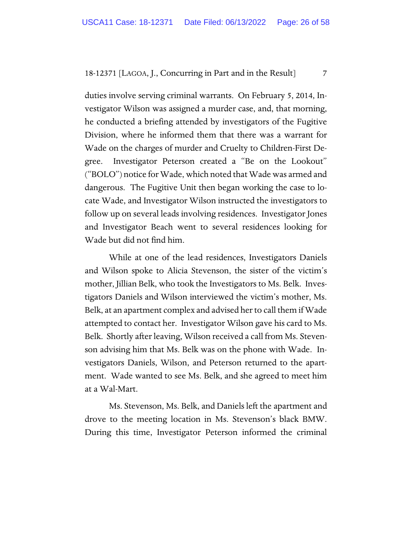duties involve serving criminal warrants. On February 5, 2014, Investigator Wilson was assigned a murder case, and, that morning, he conducted a briefing attended by investigators of the Fugitive Division, where he informed them that there was a warrant for Wade on the charges of murder and Cruelty to Children-First Degree. Investigator Peterson created a "Be on the Lookout" ("BOLO") notice for Wade, which noted that Wade was armed and dangerous. The Fugitive Unit then began working the case to locate Wade, and Investigator Wilson instructed the investigators to follow up on several leads involving residences. Investigator Jones and Investigator Beach went to several residences looking for Wade but did not find him.

While at one of the lead residences, Investigators Daniels and Wilson spoke to Alicia Stevenson, the sister of the victim's mother, Jillian Belk, who took the Investigators to Ms. Belk. Investigators Daniels and Wilson interviewed the victim's mother, Ms. Belk, at an apartment complex and advised her to call them if Wade attempted to contact her. Investigator Wilson gave his card to Ms. Belk. Shortly after leaving, Wilson received a call from Ms. Stevenson advising him that Ms. Belk was on the phone with Wade. Investigators Daniels, Wilson, and Peterson returned to the apartment. Wade wanted to see Ms. Belk, and she agreed to meet him at a Wal-Mart.

Ms. Stevenson, Ms. Belk, and Daniels left the apartment and drove to the meeting location in Ms. Stevenson's black BMW. During this time, Investigator Peterson informed the criminal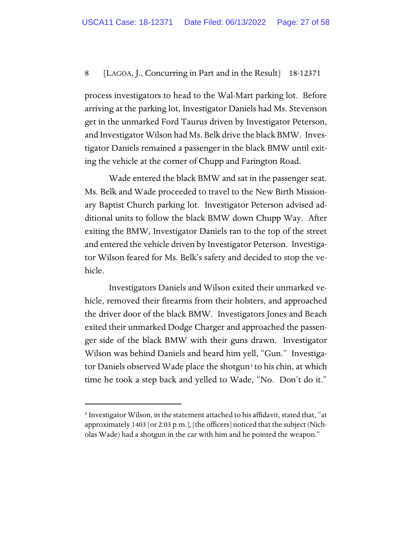process investigators to head to the Wal-Mart parking lot. Before arriving at the parking lot, Investigator Daniels had Ms. Stevenson get in the unmarked Ford Taurus driven by Investigator Peterson, and Investigator Wilson had Ms. Belk drive the black BMW. Investigator Daniels remained a passenger in the black BMW until exiting the vehicle at the corner of Chupp and Farington Road.

Wade entered the black BMW and sat in the passenger seat. Ms. Belk and Wade proceeded to travel to the New Birth Missionary Baptist Church parking lot. Investigator Peterson advised additional units to follow the black BMW down Chupp Way. After exiting the BMW, Investigator Daniels ran to the top of the street and entered the vehicle driven by Investigator Peterson. Investigator Wilson feared for Ms. Belk's safety and decided to stop the vehicle.

Investigators Daniels and Wilson exited their unmarked vehicle, removed their firearms from their holsters, and approached the driver door of the black BMW. Investigators Jones and Beach exited their unmarked Dodge Charger and approached the passenger side of the black BMW with their guns drawn. Investigator Wilson was behind Daniels and heard him yell, "Gun." Investiga-tor Daniels observed Wade place the shotgun<sup>[3](#page-26-0)</sup> to his chin, at which time he took a step back and yelled to Wade, "No. Don't do it."

<span id="page-26-0"></span><sup>&</sup>lt;sup>3</sup> Investigator Wilson, in the statement attached to his affidavit, stated that, "at approximately 1403 [or 2:03 p.m.], [the officers] noticed that the subject (Nicholas Wade) had a shotgun in the car with him and he pointed the weapon."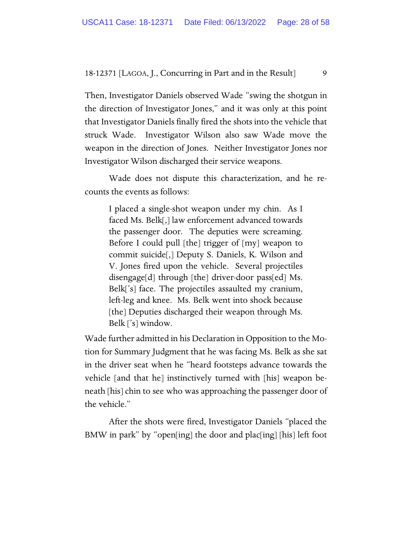Then, Investigator Daniels observed Wade "swing the shotgun in the direction of Investigator Jones," and it was only at this point that Investigator Daniels finally fired the shots into the vehicle that struck Wade. Investigator Wilson also saw Wade move the weapon in the direction of Jones. Neither Investigator Jones nor Investigator Wilson discharged their service weapons.

Wade does not dispute this characterization, and he recounts the events as follows:

I placed a single-shot weapon under my chin. As I faced Ms. Belk[,] law enforcement advanced towards the passenger door. The deputies were screaming. Before I could pull [the] trigger of [my] weapon to commit suicide[,] Deputy S. Daniels, K. Wilson and V. Jones fired upon the vehicle. Several projectiles disengage[d] through [the] driver-door pass[ed] Ms. Belk['s] face. The projectiles assaulted my cranium, left-leg and knee. Ms. Belk went into shock because [the] Deputies discharged their weapon through Ms. Belk ['s] window.

Wade further admitted in his Declaration in Opposition to the Motion for Summary Judgment that he was facing Ms. Belk as she sat in the driver seat when he "heard footsteps advance towards the vehicle [and that he] instinctively turned with [his] weapon beneath [his] chin to see who was approaching the passenger door of the vehicle."

After the shots were fired, Investigator Daniels "placed the BMW in park" by "open[ing] the door and plac[ing] [his] left foot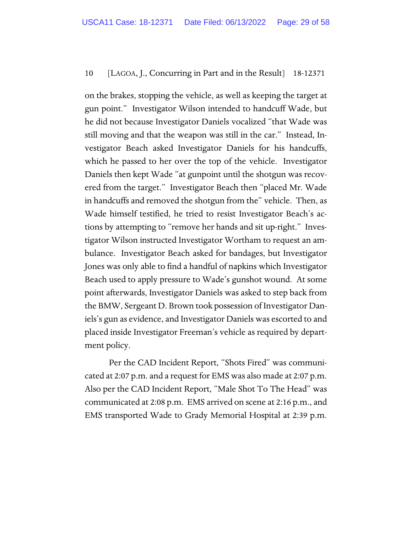on the brakes, stopping the vehicle, as well as keeping the target at gun point." Investigator Wilson intended to handcuff Wade, but he did not because Investigator Daniels vocalized "that Wade was still moving and that the weapon was still in the car." Instead, Investigator Beach asked Investigator Daniels for his handcuffs, which he passed to her over the top of the vehicle. Investigator Daniels then kept Wade "at gunpoint until the shotgun was recovered from the target." Investigator Beach then "placed Mr. Wade in handcuffs and removed the shotgun from the" vehicle. Then, as Wade himself testified, he tried to resist Investigator Beach's actions by attempting to "remove her hands and sit up-right." Investigator Wilson instructed Investigator Wortham to request an ambulance. Investigator Beach asked for bandages, but Investigator Jones was only able to find a handful of napkins which Investigator Beach used to apply pressure to Wade's gunshot wound. At some point afterwards, Investigator Daniels was asked to step back from the BMW, Sergeant D. Brown took possession of Investigator Daniels's gun as evidence, and Investigator Daniels was escorted to and placed inside Investigator Freeman's vehicle as required by department policy.

Per the CAD Incident Report, "Shots Fired" was communicated at 2:07 p.m. and a request for EMS was also made at 2:07 p.m. Also per the CAD Incident Report, "Male Shot To The Head" was communicated at 2:08 p.m. EMS arrived on scene at 2:16 p.m., and EMS transported Wade to Grady Memorial Hospital at 2:39 p.m.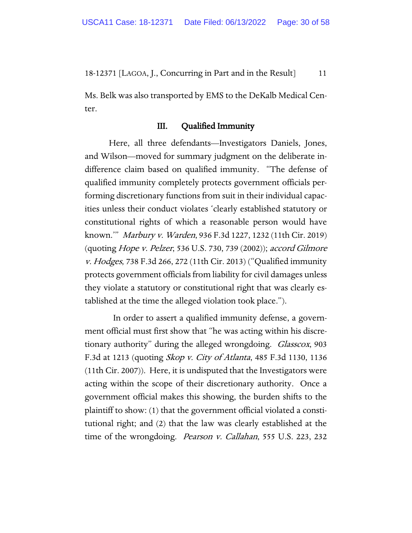Ms. Belk was also transported by EMS to the DeKalb Medical Center.

#### III. Qualified Immunity

Here, all three defendants—Investigators Daniels, Jones, and Wilson—moved for summary judgment on the deliberate indifference claim based on qualified immunity. "The defense of qualified immunity completely protects government officials performing discretionary functions from suit in their individual capacities unless their conduct violates 'clearly established statutory or constitutional rights of which a reasonable person would have known.'" Marbury v. Warden, 936 F.3d 1227, 1232 (11th Cir. 2019) (quoting Hope v. Pelzer, 536 U.S. 730, 739 (2002)); accord Gilmore v. Hodges, 738 F.3d 266, 272 (11th Cir. 2013) ("Qualified immunity protects government officials from liability for civil damages unless they violate a statutory or constitutional right that was clearly established at the time the alleged violation took place.").

 In order to assert a qualified immunity defense, a government official must first show that "he was acting within his discretionary authority" during the alleged wrongdoing. Glasscox, 903 F.3d at 1213 (quoting Skop v. City of Atlanta, 485 F.3d 1130, 1136 (11th Cir. 2007)). Here, it is undisputed that the Investigators were acting within the scope of their discretionary authority. Once a government official makes this showing, the burden shifts to the plaintiff to show: (1) that the government official violated a constitutional right; and (2) that the law was clearly established at the time of the wrongdoing. *Pearson v. Callahan*, 555 U.S. 223, 232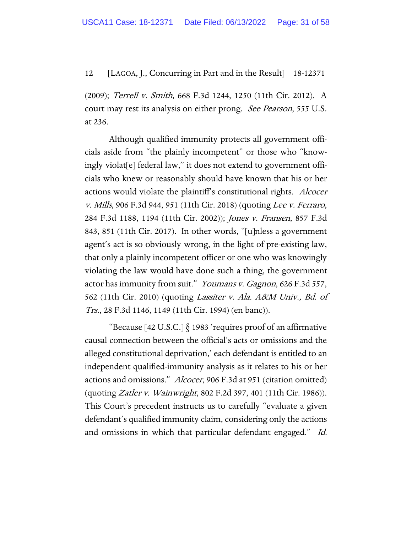(2009); Terrell v. Smith, 668 F.3d 1244, 1250 (11th Cir. 2012). A court may rest its analysis on either prong. See Pearson, 555 U.S. at 236.

Although qualified immunity protects all government officials aside from "the plainly incompetent" or those who "knowingly violat[e] federal law," it does not extend to government officials who knew or reasonably should have known that his or her actions would violate the plaintiff's constitutional rights. Alcocer v. Mills, 906 F.3d 944, 951 (11th Cir. 2018) (quoting Lee v. Ferraro, 284 F.3d 1188, 1194 (11th Cir. 2002)); Jones v. Fransen, 857 F.3d 843, 851 (11th Cir. 2017). In other words, "[u]nless a government agent's act is so obviously wrong, in the light of pre-existing law, that only a plainly incompetent officer or one who was knowingly violating the law would have done such a thing, the government actor has immunity from suit." *Youmans v. Gagnon*, 626 F.3d 557, 562 (11th Cir. 2010) (quoting Lassiter v. Ala. A&M Univ., Bd. of Trs., 28 F.3d 1146, 1149 (11th Cir. 1994) (en banc)).

"Because [42 U.S.C.]  $\S$  1983 'requires proof of an affirmative causal connection between the official's acts or omissions and the alleged constitutional deprivation,' each defendant is entitled to an independent qualified-immunity analysis as it relates to his or her actions and omissions." Alcocer, 906 F.3d at 951 (citation omitted) (quoting *Zatler v. Wainwright*, 802 F.2d 397, 401 (11th Cir. 1986)). This Court's precedent instructs us to carefully "evaluate a given defendant's qualified immunity claim, considering only the actions and omissions in which that particular defendant engaged." Id.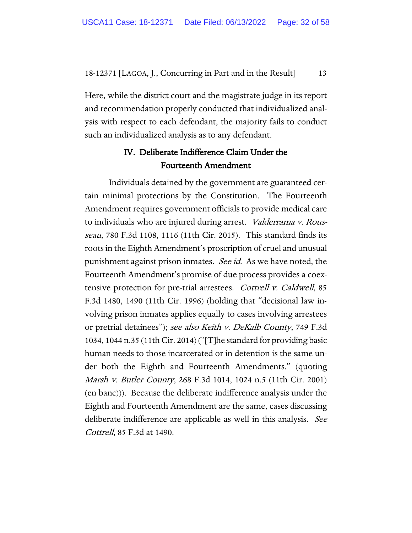Here, while the district court and the magistrate judge in its report and recommendation properly conducted that individualized analysis with respect to each defendant, the majority fails to conduct such an individualized analysis as to any defendant.

## IV. Deliberate Indifference Claim Under the Fourteenth Amendment

Individuals detained by the government are guaranteed certain minimal protections by the Constitution. The Fourteenth Amendment requires government officials to provide medical care to individuals who are injured during arrest. Valderrama v. Rousseau, 780 F.3d 1108, 1116 (11th Cir. 2015). This standard finds its roots in the Eighth Amendment's proscription of cruel and unusual punishment against prison inmates. See id. As we have noted, the Fourteenth Amendment's promise of due process provides a coextensive protection for pre-trial arrestees. *Cottrell v. Caldwell*, 85 F.3d 1480, 1490 (11th Cir. 1996) (holding that "decisional law involving prison inmates applies equally to cases involving arrestees or pretrial detainees"); see also Keith v. DeKalb County, 749 F.3d 1034, 1044 n.35 (11th Cir. 2014) ("[T]he standard for providing basic human needs to those incarcerated or in detention is the same under both the Eighth and Fourteenth Amendments." (quoting Marsh v. Butler County, 268 F.3d 1014, 1024 n.5 (11th Cir. 2001) (en banc))). Because the deliberate indifference analysis under the Eighth and Fourteenth Amendment are the same, cases discussing deliberate indifference are applicable as well in this analysis. See Cottrell, 85 F.3d at 1490.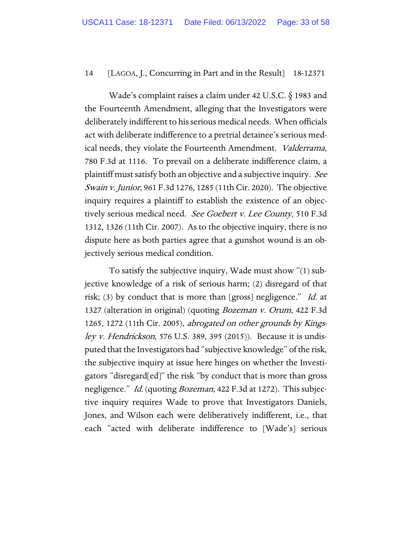Wade's complaint raises a claim under 42 U.S.C. § 1983 and the Fourteenth Amendment, alleging that the Investigators were deliberately indifferent to his serious medical needs. When officials act with deliberate indifference to a pretrial detainee's serious medical needs, they violate the Fourteenth Amendment. Valderrama, 780 F.3d at 1116. To prevail on a deliberate indifference claim, a plaintiff must satisfy both an objective and a subjective inquiry. See Swain v. Junior, 961 F.3d 1276, 1285 (11th Cir. 2020). The objective inquiry requires a plaintiff to establish the existence of an objectively serious medical need. See Goebert v. Lee County, 510 F.3d 1312, 1326 (11th Cir. 2007). As to the objective inquiry, there is no dispute here as both parties agree that a gunshot wound is an objectively serious medical condition.

To satisfy the subjective inquiry, Wade must show "(1) subjective knowledge of a risk of serious harm; (2) disregard of that risk; (3) by conduct that is more than [gross] negligence." Id. at 1327 (alteration in original) (quoting Bozeman v. Orum, 422 F.3d 1265, 1272 (11th Cir. 2005), abrogated on other grounds by Kings*ley v. Hendrickson*, 576 U.S. 389, 395 (2015)). Because it is undisputed that the Investigators had "subjective knowledge" of the risk, the subjective inquiry at issue here hinges on whether the Investigators "disregard[ed]" the risk "by conduct that is more than gross negligence." *Id.* (quoting *Bozeman*, 422 F.3d at 1272). This subjective inquiry requires Wade to prove that Investigators Daniels, Jones, and Wilson each were deliberatively indifferent, i.e., that each "acted with deliberate indifference to [Wade's] serious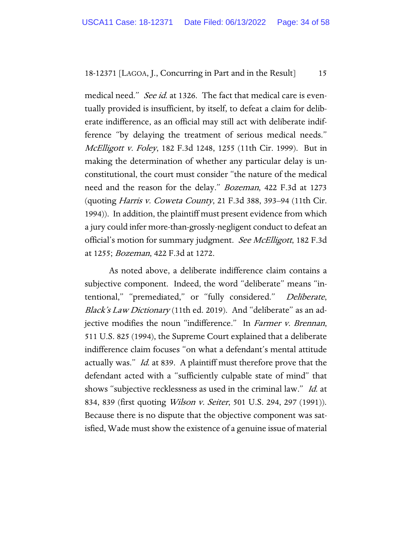medical need." *See id.* at 1326. The fact that medical care is eventually provided is insufficient, by itself, to defeat a claim for deliberate indifference, as an official may still act with deliberate indifference "by delaying the treatment of serious medical needs." McElligott v. Foley, 182 F.3d 1248, 1255 (11th Cir. 1999). But in making the determination of whether any particular delay is unconstitutional, the court must consider "the nature of the medical need and the reason for the delay." Bozeman, 422 F.3d at 1273 (quoting Harris v. Coweta County, 21 F.3d 388, 393–94 (11th Cir. 1994)). In addition, the plaintiff must present evidence from which a jury could infer more-than-grossly-negligent conduct to defeat an official's motion for summary judgment. See McElligott, 182 F.3d at 1255; Bozeman, 422 F.3d at 1272.

As noted above, a deliberate indifference claim contains a subjective component. Indeed, the word "deliberate" means "intentional," "premediated," or "fully considered." Deliberate, Black's Law Dictionary (11th ed. 2019). And "deliberate" as an adjective modifies the noun "indifference." In Farmer v. Brennan, 511 U.S. 825 (1994), the Supreme Court explained that a deliberate indifference claim focuses "on what a defendant's mental attitude actually was." *Id.* at 839. A plaintiff must therefore prove that the defendant acted with a "sufficiently culpable state of mind" that shows "subjective recklessness as used in the criminal law." Id. at 834, 839 (first quoting *Wilson v. Seiter*, 501 U.S. 294, 297 (1991)). Because there is no dispute that the objective component was satisfied, Wade must show the existence of a genuine issue of material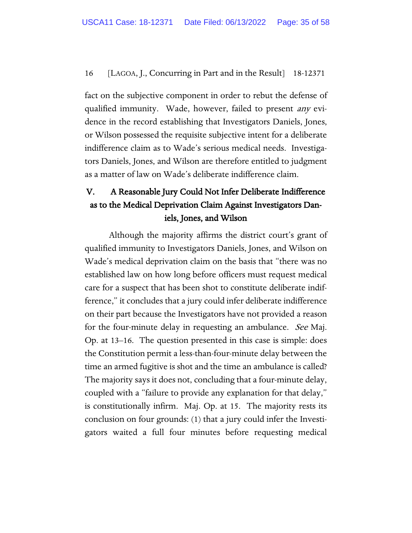fact on the subjective component in order to rebut the defense of qualified immunity. Wade, however, failed to present *any* evidence in the record establishing that Investigators Daniels, Jones, or Wilson possessed the requisite subjective intent for a deliberate indifference claim as to Wade's serious medical needs. Investigators Daniels, Jones, and Wilson are therefore entitled to judgment as a matter of law on Wade's deliberate indifference claim.

# V. A Reasonable Jury Could Not Infer Deliberate Indifference as to the Medical Deprivation Claim Against Investigators Daniels, Jones, and Wilson

Although the majority affirms the district court's grant of qualified immunity to Investigators Daniels, Jones, and Wilson on Wade's medical deprivation claim on the basis that "there was no established law on how long before officers must request medical care for a suspect that has been shot to constitute deliberate indifference," it concludes that a jury could infer deliberate indifference on their part because the Investigators have not provided a reason for the four-minute delay in requesting an ambulance. See Maj. Op. at 13–16. The question presented in this case is simple: does the Constitution permit a less-than-four-minute delay between the time an armed fugitive is shot and the time an ambulance is called? The majority says it does not, concluding that a four-minute delay, coupled with a "failure to provide any explanation for that delay," is constitutionally infirm. Maj. Op. at 15. The majority rests its conclusion on four grounds: (1) that a jury could infer the Investigators waited a full four minutes before requesting medical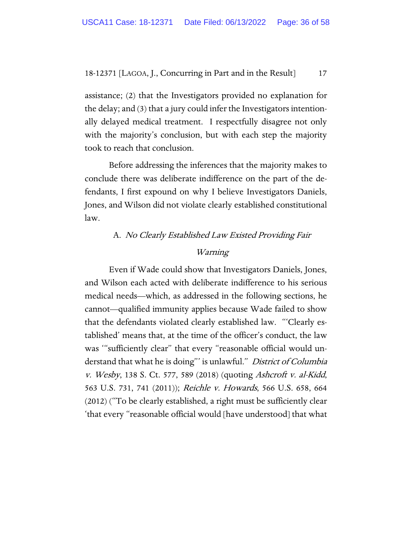assistance; (2) that the Investigators provided no explanation for the delay; and (3) that a jury could infer the Investigators intentionally delayed medical treatment. I respectfully disagree not only with the majority's conclusion, but with each step the majority took to reach that conclusion.

Before addressing the inferences that the majority makes to conclude there was deliberate indifference on the part of the defendants, I first expound on why I believe Investigators Daniels, Jones, and Wilson did not violate clearly established constitutional law.

# A. No Clearly Established Law Existed Providing Fair Warning

Even if Wade could show that Investigators Daniels, Jones, and Wilson each acted with deliberate indifference to his serious medical needs—which, as addressed in the following sections, he cannot—qualified immunity applies because Wade failed to show that the defendants violated clearly established law. "'Clearly established' means that, at the time of the officer's conduct, the law was '"sufficiently clear" that every "reasonable official would understand that what he is doing" is unlawful." District of Columbia v. Wesby, 138 S. Ct. 577, 589 (2018) (quoting Ashcroft v. al-Kidd, 563 U.S. 731, 741 (2011)); Reichle v. Howards, 566 U.S. 658, 664 (2012) ("To be clearly established, a right must be sufficiently clear 'that every "reasonable official would [have understood] that what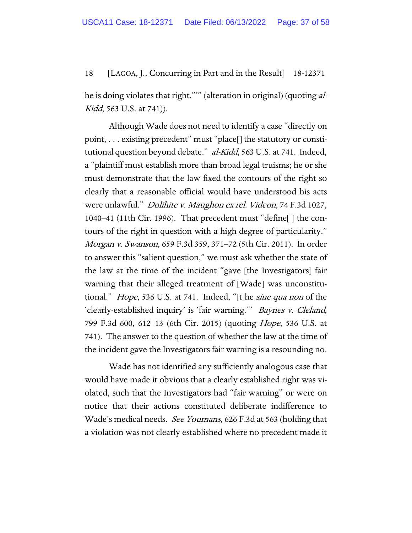he is doing violates that right."'" (alteration in original) (quoting al-Kidd, 563 U.S. at 741)).

Although Wade does not need to identify a case "directly on point, . . . existing precedent" must "place[] the statutory or constitutional question beyond debate." al-Kidd, 563 U.S. at 741. Indeed, a "plaintiff must establish more than broad legal truisms; he or she must demonstrate that the law fixed the contours of the right so clearly that a reasonable official would have understood his acts were unlawful." Dolihite v. Maughon ex rel. Videon, 74 F.3d 1027, 1040–41 (11th Cir. 1996). That precedent must "define[ ] the contours of the right in question with a high degree of particularity." Morgan v. Swanson, 659 F.3d 359, 371–72 (5th Cir. 2011). In order to answer this "salient question," we must ask whether the state of the law at the time of the incident "gave [the Investigators] fair warning that their alleged treatment of [Wade] was unconstitutional." Hope, 536 U.S. at 741. Indeed, "[t]he sine qua non of the 'clearly-established inquiry' is 'fair warning.'" Baynes v. Cleland, 799 F.3d 600, 612–13 (6th Cir. 2015) (quoting Hope, 536 U.S. at 741). The answer to the question of whether the law at the time of the incident gave the Investigators fair warning is a resounding no.

Wade has not identified any sufficiently analogous case that would have made it obvious that a clearly established right was violated, such that the Investigators had "fair warning" or were on notice that their actions constituted deliberate indifference to Wade's medical needs. See Youmans, 626 F.3d at 563 (holding that a violation was not clearly established where no precedent made it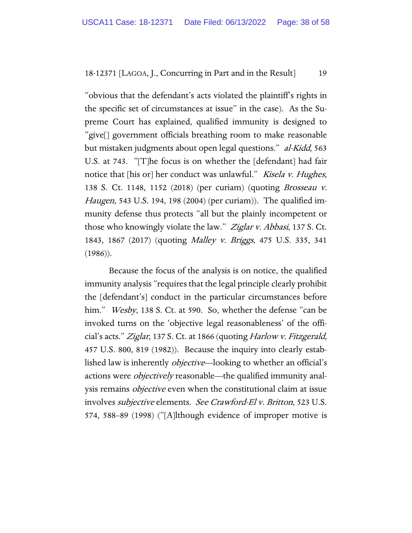"obvious that the defendant's acts violated the plaintiff's rights in the specific set of circumstances at issue" in the case). As the Supreme Court has explained, qualified immunity is designed to "give[] government officials breathing room to make reasonable but mistaken judgments about open legal questions." al-Kidd, 563 U.S. at 743. "[T]he focus is on whether the [defendant] had fair notice that [his or] her conduct was unlawful." Kisela v. Hughes, 138 S. Ct. 1148, 1152 (2018) (per curiam) (quoting Brosseau v. Haugen, 543 U.S. 194, 198 (2004) (per curiam)). The qualified immunity defense thus protects "all but the plainly incompetent or those who knowingly violate the law." Ziglar v. Abbasi, 137 S. Ct. 1843, 1867 (2017) (quoting Malley v. Briggs, 475 U.S. 335, 341 (1986)).

Because the focus of the analysis is on notice, the qualified immunity analysis "requires that the legal principle clearly prohibit the [defendant's] conduct in the particular circumstances before him." *Wesby*, 138 S. Ct. at 590. So, whether the defense "can be invoked turns on the 'objective legal reasonableness' of the official's acts." Ziglar, 137 S. Ct. at 1866 (quoting Harlow v. Fitzgerald, 457 U.S. 800, 819 (1982)). Because the inquiry into clearly established law is inherently objective—looking to whether an official's actions were *objectively* reasonable—the qualified immunity analysis remains objective even when the constitutional claim at issue involves subjective elements. See Crawford-El v. Britton, 523 U.S. 574, 588–89 (1998) ("[A]lthough evidence of improper motive is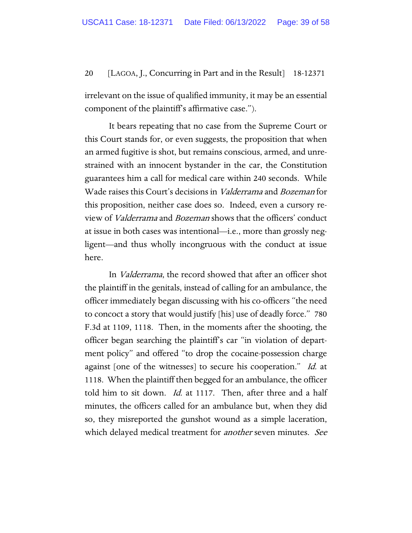irrelevant on the issue of qualified immunity, it may be an essential component of the plaintiff's affirmative case.").

It bears repeating that no case from the Supreme Court or this Court stands for, or even suggests, the proposition that when an armed fugitive is shot, but remains conscious, armed, and unrestrained with an innocent bystander in the car, the Constitution guarantees him a call for medical care within 240 seconds. While Wade raises this Court's decisions in Valderrama and Bozeman for this proposition, neither case does so. Indeed, even a cursory review of Valderrama and Bozeman shows that the officers' conduct at issue in both cases was intentional—i.e., more than grossly negligent—and thus wholly incongruous with the conduct at issue here.

In Valderrama, the record showed that after an officer shot the plaintiff in the genitals, instead of calling for an ambulance, the officer immediately began discussing with his co-officers "the need to concoct a story that would justify [his] use of deadly force." 780 F.3d at 1109, 1118. Then, in the moments after the shooting, the officer began searching the plaintiff's car "in violation of department policy" and offered "to drop the cocaine-possession charge against [one of the witnesses] to secure his cooperation." Id. at 1118. When the plaintiff then begged for an ambulance, the officer told him to sit down. *Id.* at 1117. Then, after three and a half minutes, the officers called for an ambulance but, when they did so, they misreported the gunshot wound as a simple laceration, which delayed medical treatment for *another* seven minutes. See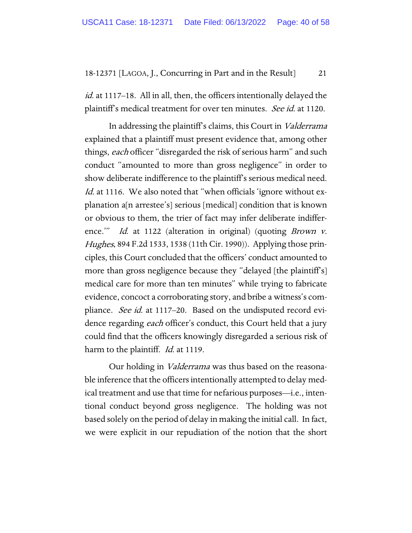*id.* at 1117–18. All in all, then, the officers intentionally delayed the plaintiff's medical treatment for over ten minutes. See id. at 1120.

In addressing the plaintiff's claims, this Court in Valderrama explained that a plaintiff must present evidence that, among other things, each officer "disregarded the risk of serious harm" and such conduct "amounted to more than gross negligence" in order to show deliberate indifference to the plaintiff's serious medical need. Id. at 1116. We also noted that "when officials 'ignore without explanation a[n arrestee's] serious [medical] condition that is known or obvious to them, the trier of fact may infer deliberate indifference." Id. at 1122 (alteration in original) (quoting Brown v. Hughes, 894 F.2d 1533, 1538 (11th Cir. 1990)). Applying those principles, this Court concluded that the officers' conduct amounted to more than gross negligence because they "delayed [the plaintiff's] medical care for more than ten minutes" while trying to fabricate evidence, concoct a corroborating story, and bribe a witness's compliance. *See id.* at 1117–20. Based on the undisputed record evidence regarding *each* officer's conduct, this Court held that a jury could find that the officers knowingly disregarded a serious risk of harm to the plaintiff. *Id.* at 1119.

Our holding in Valderrama was thus based on the reasonable inference that the officers intentionally attempted to delay medical treatment and use that time for nefarious purposes—i.e., intentional conduct beyond gross negligence. The holding was not based solely on the period of delay in making the initial call. In fact, we were explicit in our repudiation of the notion that the short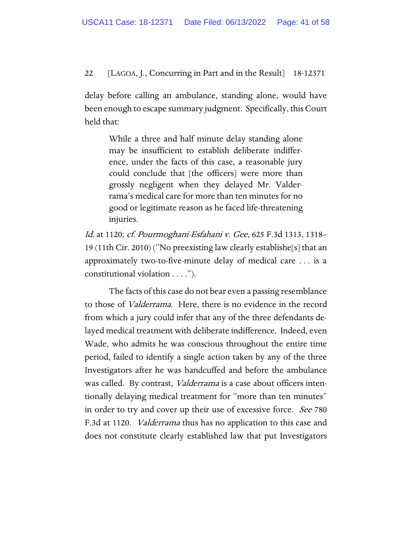delay before calling an ambulance, standing alone, would have been enough to escape summary judgment. Specifically, this Court held that:

> While a three and half minute delay standing alone may be insufficient to establish deliberate indifference, under the facts of this case, a reasonable jury could conclude that [the officers] were more than grossly negligent when they delayed Mr. Valderrama's medical care for more than ten minutes for no good or legitimate reason as he faced life-threatening injuries.

Id. at 1120; cf. Pourmoghani-Esfahani v. Gee, 625 F.3d 1313, 1318– 19 (11th Cir. 2010) ("No preexisting law clearly establishe[s] that an approximately two-to-five-minute delay of medical care . . . is a constitutional violation . . . .").

The facts of this case do not bear even a passing resemblance to those of Valderrama. Here, there is no evidence in the record from which a jury could infer that any of the three defendants delayed medical treatment with deliberate indifference. Indeed, even Wade, who admits he was conscious throughout the entire time period, failed to identify a single action taken by any of the three Investigators after he was handcuffed and before the ambulance was called. By contrast, *Valderrama* is a case about officers intentionally delaying medical treatment for "more than ten minutes" in order to try and cover up their use of excessive force. See 780 F.3d at 1120. *Valderrama* thus has no application to this case and does not constitute clearly established law that put Investigators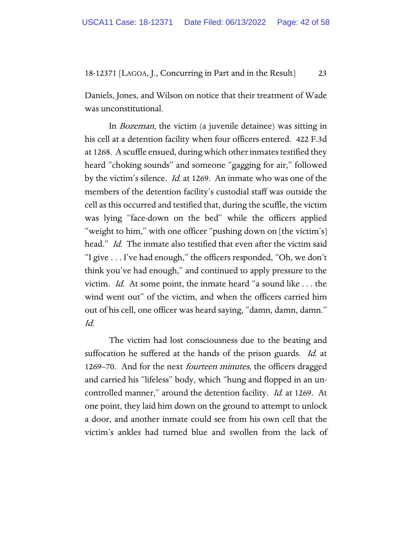Daniels, Jones, and Wilson on notice that their treatment of Wade was unconstitutional.

In Bozeman, the victim (a juvenile detainee) was sitting in his cell at a detention facility when four officers entered. 422 F.3d at 1268. A scuffle ensued, during which other inmates testified they heard "choking sounds" and someone "gagging for air," followed by the victim's silence. Id. at 1269. An inmate who was one of the members of the detention facility's custodial staff was outside the cell as this occurred and testified that, during the scuffle, the victim was lying "face-down on the bed" while the officers applied "weight to him," with one officer "pushing down on [the victim's] head." *Id.* The inmate also testified that even after the victim said "I give . . . I've had enough," the officers responded, "Oh, we don't think you've had enough," and continued to apply pressure to the victim. Id. At some point, the inmate heard "a sound like . . . the wind went out" of the victim, and when the officers carried him out of his cell, one officer was heard saying, "damn, damn, damn." Id.

The victim had lost consciousness due to the beating and suffocation he suffered at the hands of the prison guards. *Id.* at 1269–70. And for the next *fourteen minutes*, the officers dragged and carried his "lifeless" body, which "hung and flopped in an uncontrolled manner," around the detention facility. *Id.* at 1269. At one point, they laid him down on the ground to attempt to unlock a door, and another inmate could see from his own cell that the victim's ankles had turned blue and swollen from the lack of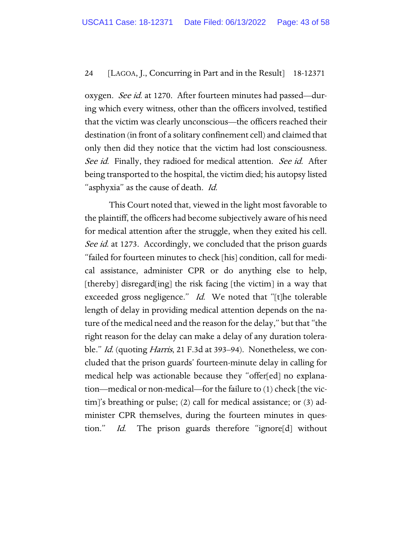oxygen. *See id.* at 1270. After fourteen minutes had passed—during which every witness, other than the officers involved, testified that the victim was clearly unconscious—the officers reached their destination (in front of a solitary confinement cell) and claimed that only then did they notice that the victim had lost consciousness. See id. Finally, they radioed for medical attention. See id. After being transported to the hospital, the victim died; his autopsy listed "asphyxia" as the cause of death. Id.

This Court noted that, viewed in the light most favorable to the plaintiff, the officers had become subjectively aware of his need for medical attention after the struggle, when they exited his cell. See id. at 1273. Accordingly, we concluded that the prison guards "failed for fourteen minutes to check [his] condition, call for medical assistance, administer CPR or do anything else to help, [thereby] disregard[ing] the risk facing [the victim] in a way that exceeded gross negligence." Id. We noted that "[t]he tolerable length of delay in providing medical attention depends on the nature of the medical need and the reason for the delay," but that "the right reason for the delay can make a delay of any duration tolerable." *Id.* (quoting *Harris*, 21 F.3d at 393–94). Nonetheless, we concluded that the prison guards' fourteen-minute delay in calling for medical help was actionable because they "offer[ed] no explanation—medical or non-medical—for the failure to (1) check [the victim]'s breathing or pulse; (2) call for medical assistance; or (3) administer CPR themselves, during the fourteen minutes in question." Id. The prison guards therefore "ignore[d] without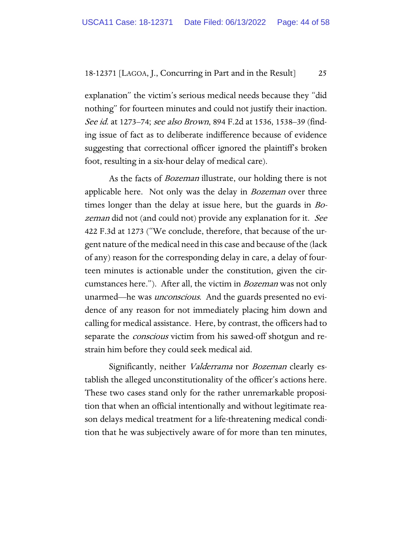explanation" the victim's serious medical needs because they "did nothing" for fourteen minutes and could not justify their inaction. See id. at 1273–74; see also Brown, 894 F.2d at 1536, 1538–39 (finding issue of fact as to deliberate indifference because of evidence suggesting that correctional officer ignored the plaintiff's broken foot, resulting in a six-hour delay of medical care).

As the facts of *Bozeman* illustrate, our holding there is not applicable here. Not only was the delay in *Bozeman* over three times longer than the delay at issue here, but the guards in Bozeman did not (and could not) provide any explanation for it. See 422 F.3d at 1273 ("We conclude, therefore, that because of the urgent nature of the medical need in this case and because of the (lack of any) reason for the corresponding delay in care, a delay of fourteen minutes is actionable under the constitution, given the circumstances here."). After all, the victim in *Bozeman* was not only unarmed—he was *unconscious*. And the guards presented no evidence of any reason for not immediately placing him down and calling for medical assistance. Here, by contrast, the officers had to separate the *conscious* victim from his sawed-off shotgun and restrain him before they could seek medical aid.

Significantly, neither Valderrama nor Bozeman clearly establish the alleged unconstitutionality of the officer's actions here. These two cases stand only for the rather unremarkable proposition that when an official intentionally and without legitimate reason delays medical treatment for a life-threatening medical condition that he was subjectively aware of for more than ten minutes,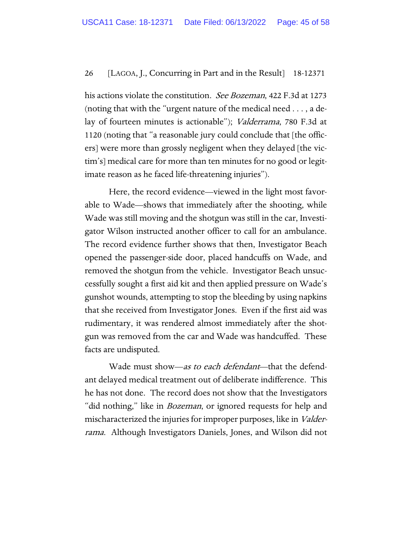his actions violate the constitution. *See Bozeman*, 422 F.3d at 1273 (noting that with the "urgent nature of the medical need . . . , a delay of fourteen minutes is actionable"); Valderrama, 780 F.3d at 1120 (noting that "a reasonable jury could conclude that [the officers] were more than grossly negligent when they delayed [the victim's] medical care for more than ten minutes for no good or legitimate reason as he faced life-threatening injuries").

Here, the record evidence—viewed in the light most favorable to Wade—shows that immediately after the shooting, while Wade was still moving and the shotgun was still in the car, Investigator Wilson instructed another officer to call for an ambulance. The record evidence further shows that then, Investigator Beach opened the passenger-side door, placed handcuffs on Wade, and removed the shotgun from the vehicle. Investigator Beach unsuccessfully sought a first aid kit and then applied pressure on Wade's gunshot wounds, attempting to stop the bleeding by using napkins that she received from Investigator Jones. Even if the first aid was rudimentary, it was rendered almost immediately after the shotgun was removed from the car and Wade was handcuffed. These facts are undisputed.

Wade must show—as to each defendant—that the defendant delayed medical treatment out of deliberate indifference. This he has not done. The record does not show that the Investigators "did nothing," like in *Bozeman*, or ignored requests for help and mischaracterized the injuries for improper purposes, like in Valderrama. Although Investigators Daniels, Jones, and Wilson did not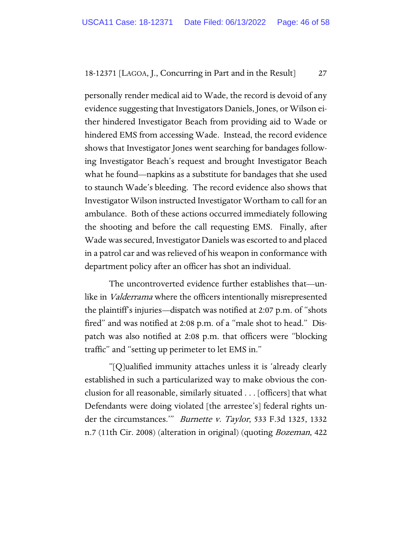personally render medical aid to Wade, the record is devoid of any evidence suggesting that Investigators Daniels, Jones, or Wilson either hindered Investigator Beach from providing aid to Wade or hindered EMS from accessing Wade. Instead, the record evidence shows that Investigator Jones went searching for bandages following Investigator Beach's request and brought Investigator Beach what he found—napkins as a substitute for bandages that she used to staunch Wade's bleeding. The record evidence also shows that Investigator Wilson instructed Investigator Wortham to call for an ambulance. Both of these actions occurred immediately following the shooting and before the call requesting EMS. Finally, after Wade was secured, Investigator Daniels was escorted to and placed in a patrol car and was relieved of his weapon in conformance with department policy after an officer has shot an individual.

The uncontroverted evidence further establishes that—unlike in *Valderrama* where the officers intentionally misrepresented the plaintiff's injuries—dispatch was notified at 2:07 p.m. of "shots fired" and was notified at 2:08 p.m. of a "male shot to head." Dispatch was also notified at 2:08 p.m. that officers were "blocking traffic" and "setting up perimeter to let EMS in."

"[Q]ualified immunity attaches unless it is 'already clearly established in such a particularized way to make obvious the conclusion for all reasonable, similarly situated . . . [officers] that what Defendants were doing violated [the arrestee's] federal rights under the circumstances.'" Burnette v. Taylor, 533 F.3d 1325, 1332 n.7 (11th Cir. 2008) (alteration in original) (quoting Bozeman, 422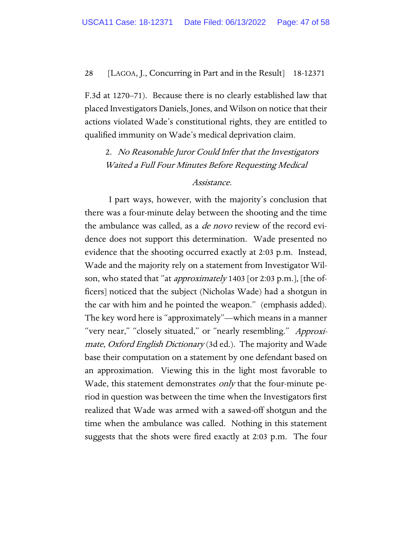F.3d at 1270–71). Because there is no clearly established law that placed Investigators Daniels, Jones, and Wilson on notice that their actions violated Wade's constitutional rights, they are entitled to qualified immunity on Wade's medical deprivation claim.

2. No Reasonable Juror Could Infer that the Investigators Waited a Full Four Minutes Before Requesting Medical

#### Assistance.

I part ways, however, with the majority's conclusion that there was a four-minute delay between the shooting and the time the ambulance was called, as a *de novo* review of the record evidence does not support this determination. Wade presented no evidence that the shooting occurred exactly at 2:03 p.m. Instead, Wade and the majority rely on a statement from Investigator Wilson, who stated that "at *approximately* 1403 [or 2:03 p.m.], [the officers] noticed that the subject (Nicholas Wade) had a shotgun in the car with him and he pointed the weapon." (emphasis added). The key word here is "approximately"—which means in a manner "very near," "closely situated," or "nearly resembling." Approximate, Oxford English Dictionary (3d ed.). The majority and Wade base their computation on a statement by one defendant based on an approximation. Viewing this in the light most favorable to Wade, this statement demonstrates *only* that the four-minute period in question was between the time when the Investigators first realized that Wade was armed with a sawed-off shotgun and the time when the ambulance was called. Nothing in this statement suggests that the shots were fired exactly at 2:03 p.m. The four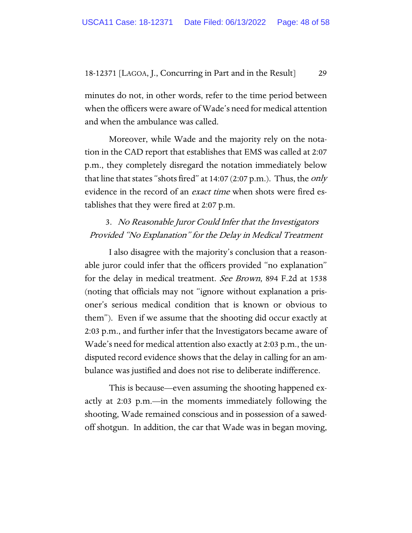minutes do not, in other words, refer to the time period between when the officers were aware of Wade's need for medical attention and when the ambulance was called.

Moreover, while Wade and the majority rely on the notation in the CAD report that establishes that EMS was called at 2:07 p.m., they completely disregard the notation immediately below that line that states "shots fired" at  $14:07$  (2:07 p.m.). Thus, the *only* evidence in the record of an *exact time* when shots were fired establishes that they were fired at 2:07 p.m.

# 3. No Reasonable Juror Could Infer that the Investigators Provided "No Explanation" for the Delay in Medical Treatment

I also disagree with the majority's conclusion that a reasonable juror could infer that the officers provided "no explanation" for the delay in medical treatment. *See Brown*, 894 F.2d at 1538 (noting that officials may not "ignore without explanation a prisoner's serious medical condition that is known or obvious to them"). Even if we assume that the shooting did occur exactly at 2:03 p.m., and further infer that the Investigators became aware of Wade's need for medical attention also exactly at 2:03 p.m., the undisputed record evidence shows that the delay in calling for an ambulance was justified and does not rise to deliberate indifference.

This is because—even assuming the shooting happened exactly at 2:03 p.m.—in the moments immediately following the shooting, Wade remained conscious and in possession of a sawedoff shotgun. In addition, the car that Wade was in began moving,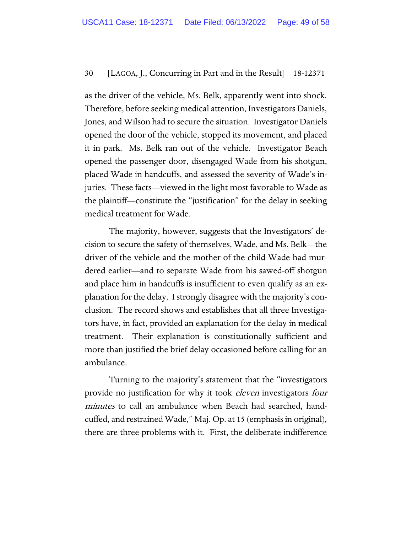as the driver of the vehicle, Ms. Belk, apparently went into shock. Therefore, before seeking medical attention, Investigators Daniels, Jones, and Wilson had to secure the situation. Investigator Daniels opened the door of the vehicle, stopped its movement, and placed it in park. Ms. Belk ran out of the vehicle. Investigator Beach opened the passenger door, disengaged Wade from his shotgun, placed Wade in handcuffs, and assessed the severity of Wade's injuries. These facts—viewed in the light most favorable to Wade as the plaintiff—constitute the "justification" for the delay in seeking medical treatment for Wade.

The majority, however, suggests that the Investigators' decision to secure the safety of themselves, Wade, and Ms. Belk—the driver of the vehicle and the mother of the child Wade had murdered earlier—and to separate Wade from his sawed-off shotgun and place him in handcuffs is insufficient to even qualify as an explanation for the delay. I strongly disagree with the majority's conclusion. The record shows and establishes that all three Investigators have, in fact, provided an explanation for the delay in medical treatment. Their explanation is constitutionally sufficient and more than justified the brief delay occasioned before calling for an ambulance.

Turning to the majority's statement that the "investigators provide no justification for why it took *eleven* investigators *four* minutes to call an ambulance when Beach had searched, handcuffed, and restrained Wade," Maj. Op. at 15 (emphasis in original), there are three problems with it. First, the deliberate indifference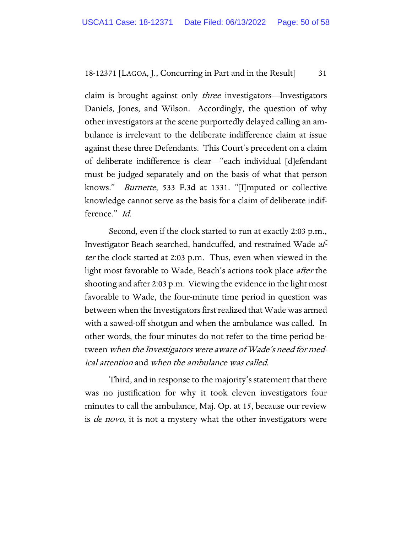claim is brought against only *three* investigators—Investigators Daniels, Jones, and Wilson. Accordingly, the question of why other investigators at the scene purportedly delayed calling an ambulance is irrelevant to the deliberate indifference claim at issue against these three Defendants. This Court's precedent on a claim of deliberate indifference is clear—"each individual [d]efendant must be judged separately and on the basis of what that person knows." Burnette, 533 F.3d at 1331. "[I]mputed or collective knowledge cannot serve as the basis for a claim of deliberate indifference." Id.

Second, even if the clock started to run at exactly 2:03 p.m., Investigator Beach searched, handcuffed, and restrained Wade after the clock started at 2:03 p.m. Thus, even when viewed in the light most favorable to Wade, Beach's actions took place after the shooting and after 2:03 p.m. Viewing the evidence in the light most favorable to Wade, the four-minute time period in question was between when the Investigators first realized that Wade was armed with a sawed-off shotgun and when the ambulance was called. In other words, the four minutes do not refer to the time period between when the Investigators were aware of Wade's need for medical attention and when the ambulance was called.

Third, and in response to the majority's statement that there was no justification for why it took eleven investigators four minutes to call the ambulance, Maj. Op. at 15, because our review is *de novo*, it is not a mystery what the other investigators were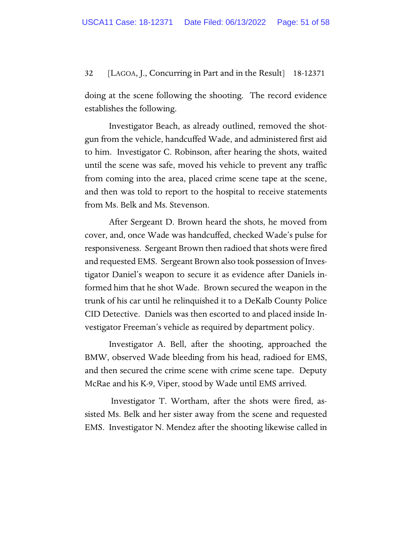doing at the scene following the shooting. The record evidence establishes the following.

Investigator Beach, as already outlined, removed the shotgun from the vehicle, handcuffed Wade, and administered first aid to him. Investigator C. Robinson, after hearing the shots, waited until the scene was safe, moved his vehicle to prevent any traffic from coming into the area, placed crime scene tape at the scene, and then was told to report to the hospital to receive statements from Ms. Belk and Ms. Stevenson.

After Sergeant D. Brown heard the shots, he moved from cover, and, once Wade was handcuffed, checked Wade's pulse for responsiveness. Sergeant Brown then radioed that shots were fired and requested EMS. Sergeant Brown also took possession of Investigator Daniel's weapon to secure it as evidence after Daniels informed him that he shot Wade. Brown secured the weapon in the trunk of his car until he relinquished it to a DeKalb County Police CID Detective. Daniels was then escorted to and placed inside Investigator Freeman's vehicle as required by department policy.

Investigator A. Bell, after the shooting, approached the BMW, observed Wade bleeding from his head, radioed for EMS, and then secured the crime scene with crime scene tape. Deputy McRae and his K-9, Viper, stood by Wade until EMS arrived.

Investigator T. Wortham, after the shots were fired, assisted Ms. Belk and her sister away from the scene and requested EMS. Investigator N. Mendez after the shooting likewise called in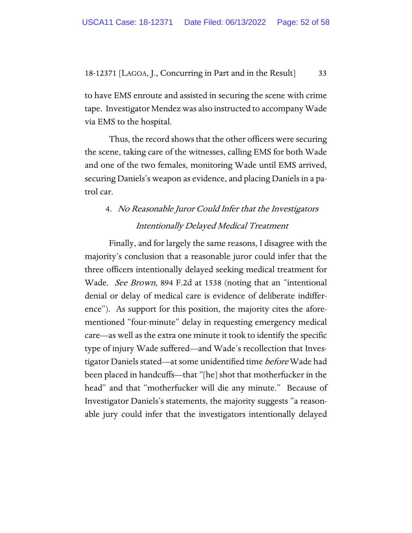to have EMS enroute and assisted in securing the scene with crime tape. Investigator Mendez was also instructed to accompany Wade via EMS to the hospital.

Thus, the record shows that the other officers were securing the scene, taking care of the witnesses, calling EMS for both Wade and one of the two females, monitoring Wade until EMS arrived, securing Daniels's weapon as evidence, and placing Daniels in a patrol car.

# 4. No Reasonable Juror Could Infer that the Investigators Intentionally Delayed Medical Treatment

Finally, and for largely the same reasons, I disagree with the majority's conclusion that a reasonable juror could infer that the three officers intentionally delayed seeking medical treatment for Wade. See Brown, 894 F.2d at 1538 (noting that an "intentional denial or delay of medical care is evidence of deliberate indifference"). As support for this position, the majority cites the aforementioned "four-minute" delay in requesting emergency medical care—as well as the extra one minute it took to identify the specific type of injury Wade suffered—and Wade's recollection that Investigator Daniels stated—at some unidentified time before Wade had been placed in handcuffs—that "[he] shot that motherfucker in the head" and that "motherfucker will die any minute." Because of Investigator Daniels's statements, the majority suggests "a reasonable jury could infer that the investigators intentionally delayed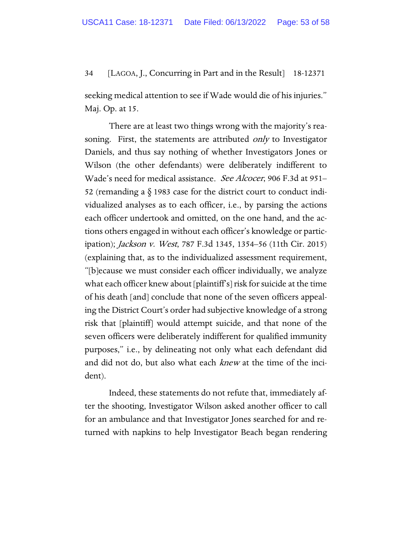seeking medical attention to see if Wade would die of his injuries." Maj. Op. at 15.

There are at least two things wrong with the majority's reasoning. First, the statements are attributed *only* to Investigator Daniels, and thus say nothing of whether Investigators Jones or Wilson (the other defendants) were deliberately indifferent to Wade's need for medical assistance. See Alcocer, 906 F.3d at 951– 52 (remanding a § 1983 case for the district court to conduct individualized analyses as to each officer, i.e., by parsing the actions each officer undertook and omitted, on the one hand, and the actions others engaged in without each officer's knowledge or participation); Jackson v. West, 787 F.3d 1345, 1354–56 (11th Cir. 2015) (explaining that, as to the individualized assessment requirement, "[b]ecause we must consider each officer individually, we analyze what each officer knew about [plaintiff's] risk for suicide at the time of his death [and] conclude that none of the seven officers appealing the District Court's order had subjective knowledge of a strong risk that [plaintiff] would attempt suicide, and that none of the seven officers were deliberately indifferent for qualified immunity purposes," i.e., by delineating not only what each defendant did and did not do, but also what each knew at the time of the incident).

Indeed, these statements do not refute that, immediately after the shooting, Investigator Wilson asked another officer to call for an ambulance and that Investigator Jones searched for and returned with napkins to help Investigator Beach began rendering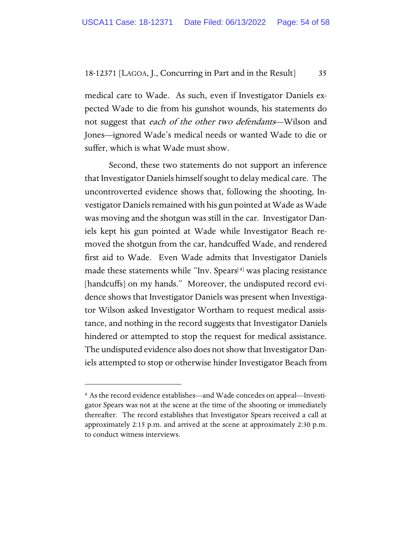medical care to Wade. As such, even if Investigator Daniels expected Wade to die from his gunshot wounds, his statements do not suggest that each of the other two defendants—Wilson and Jones—ignored Wade's medical needs or wanted Wade to die or suffer, which is what Wade must show.

Second, these two statements do not support an inference that Investigator Daniels himself sought to delay medical care. The uncontroverted evidence shows that, following the shooting, Investigator Daniels remained with his gun pointed at Wade as Wade was moving and the shotgun was still in the car. Investigator Daniels kept his gun pointed at Wade while Investigator Beach removed the shotgun from the car, handcuffed Wade, and rendered first aid to Wade. Even Wade admits that Investigator Daniels made these statements while "Inv. Spears[[4](#page-53-0)] was placing resistance [handcuffs] on my hands." Moreover, the undisputed record evidence shows that Investigator Daniels was present when Investigator Wilson asked Investigator Wortham to request medical assistance, and nothing in the record suggests that Investigator Daniels hindered or attempted to stop the request for medical assistance. The undisputed evidence also does not show that Investigator Daniels attempted to stop or otherwise hinder Investigator Beach from

<span id="page-53-0"></span><sup>4</sup> As the record evidence establishes—and Wade concedes on appeal—Investigator Spears was not at the scene at the time of the shooting or immediately thereafter. The record establishes that Investigator Spears received a call at approximately 2:15 p.m. and arrived at the scene at approximately 2:30 p.m. to conduct witness interviews.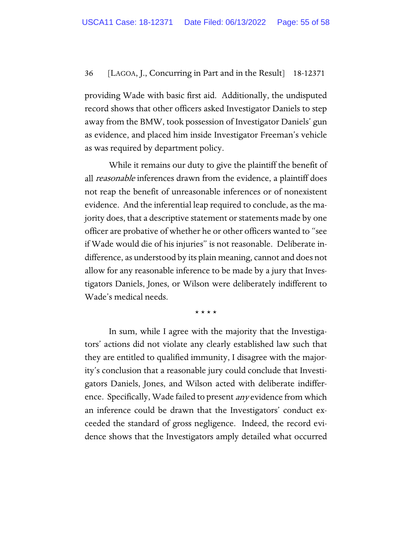providing Wade with basic first aid. Additionally, the undisputed record shows that other officers asked Investigator Daniels to step away from the BMW, took possession of Investigator Daniels' gun as evidence, and placed him inside Investigator Freeman's vehicle as was required by department policy.

While it remains our duty to give the plaintiff the benefit of all reasonable inferences drawn from the evidence, a plaintiff does not reap the benefit of unreasonable inferences or of nonexistent evidence. And the inferential leap required to conclude, as the majority does, that a descriptive statement or statements made by one officer are probative of whether he or other officers wanted to "see if Wade would die of his injuries" is not reasonable. Deliberate indifference, as understood by its plain meaning, cannot and does not allow for any reasonable inference to be made by a jury that Investigators Daniels, Jones, or Wilson were deliberately indifferent to Wade's medical needs.

\* \* \* \*

In sum, while I agree with the majority that the Investigators' actions did not violate any clearly established law such that they are entitled to qualified immunity, I disagree with the majority's conclusion that a reasonable jury could conclude that Investigators Daniels, Jones, and Wilson acted with deliberate indifference. Specifically, Wade failed to present *any* evidence from which an inference could be drawn that the Investigators' conduct exceeded the standard of gross negligence. Indeed, the record evidence shows that the Investigators amply detailed what occurred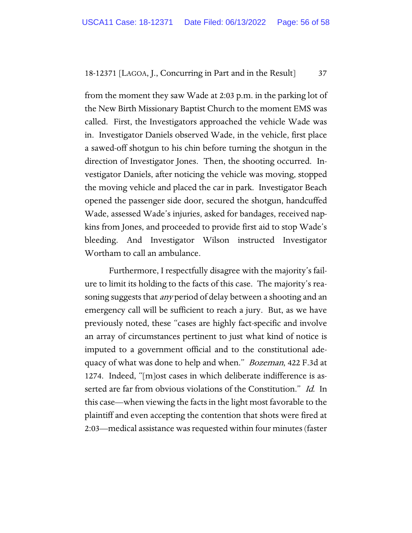from the moment they saw Wade at 2:03 p.m. in the parking lot of the New Birth Missionary Baptist Church to the moment EMS was called. First, the Investigators approached the vehicle Wade was in. Investigator Daniels observed Wade, in the vehicle, first place a sawed-off shotgun to his chin before turning the shotgun in the direction of Investigator Jones. Then, the shooting occurred. Investigator Daniels, after noticing the vehicle was moving, stopped the moving vehicle and placed the car in park. Investigator Beach opened the passenger side door, secured the shotgun, handcuffed Wade, assessed Wade's injuries, asked for bandages, received napkins from Jones, and proceeded to provide first aid to stop Wade's bleeding. And Investigator Wilson instructed Investigator Wortham to call an ambulance.

Furthermore, I respectfully disagree with the majority's failure to limit its holding to the facts of this case. The majority's reasoning suggests that *any* period of delay between a shooting and an emergency call will be sufficient to reach a jury. But, as we have previously noted, these "cases are highly fact-specific and involve an array of circumstances pertinent to just what kind of notice is imputed to a government official and to the constitutional adequacy of what was done to help and when." Bozeman, 422 F.3d at 1274. Indeed, "[m]ost cases in which deliberate indifference is asserted are far from obvious violations of the Constitution." Id. In this case—when viewing the facts in the light most favorable to the plaintiff and even accepting the contention that shots were fired at 2:03—medical assistance was requested within four minutes (faster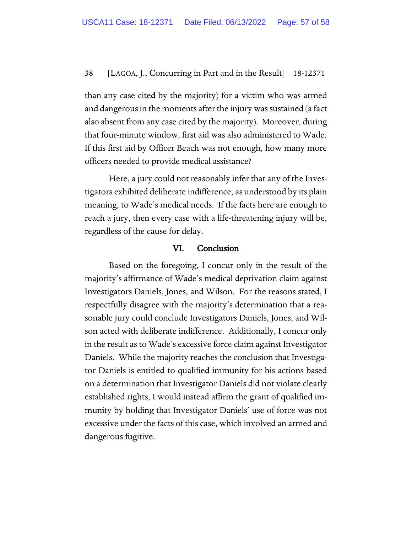than any case cited by the majority) for a victim who was armed and dangerous in the moments after the injury was sustained (a fact also absent from any case cited by the majority). Moreover, during that four-minute window, first aid was also administered to Wade. If this first aid by Officer Beach was not enough, how many more officers needed to provide medical assistance?

Here, a jury could not reasonably infer that any of the Investigators exhibited deliberate indifference, as understood by its plain meaning, to Wade's medical needs. If the facts here are enough to reach a jury, then every case with a life-threatening injury will be, regardless of the cause for delay.

#### VI. Conclusion

Based on the foregoing, I concur only in the result of the majority's affirmance of Wade's medical deprivation claim against Investigators Daniels, Jones, and Wilson. For the reasons stated, I respectfully disagree with the majority's determination that a reasonable jury could conclude Investigators Daniels, Jones, and Wilson acted with deliberate indifference. Additionally, I concur only in the result as to Wade's excessive force claim against Investigator Daniels. While the majority reaches the conclusion that Investigator Daniels is entitled to qualified immunity for his actions based on a determination that Investigator Daniels did not violate clearly established rights, I would instead affirm the grant of qualified immunity by holding that Investigator Daniels' use of force was not excessive under the facts of this case, which involved an armed and dangerous fugitive.